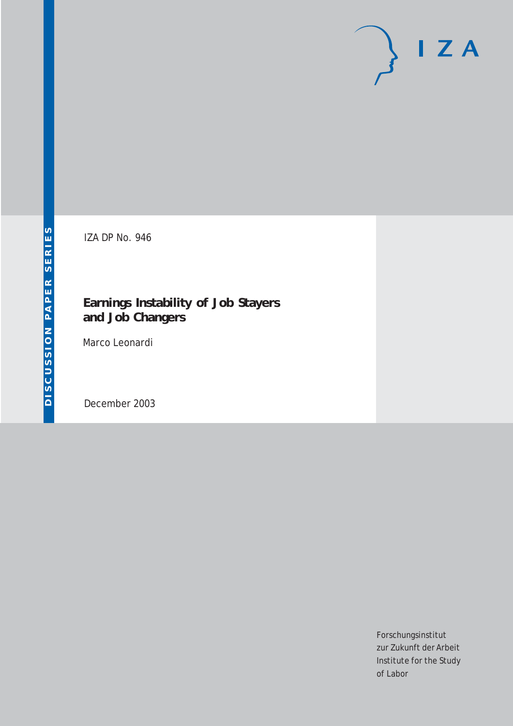# $I Z A$

IZA DP No. 946

### **Earnings Instability of Job Stayers and Job Changers**

Marco Leonardi

December 2003

Forschungsinstitut zur Zukunft der Arbeit Institute for the Study of Labor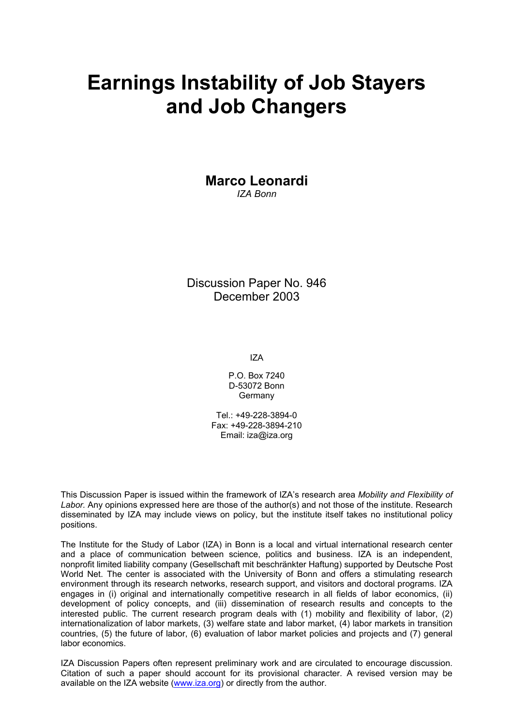# **Earnings Instability of Job Stayers and Job Changers**

**Marco Leonardi**  *IZA Bonn* 

Discussion Paper No. 946 December 2003

IZA

P.O. Box 7240 D-53072 Bonn **Germany** 

Tel.: +49-228-3894-0 Fax: +49-228-3894-210 Email: [iza@iza.org](mailto:iza@iza.org)

This Discussion Paper is issued within the framework of IZA's research area *Mobility and Flexibility of Labor.* Any opinions expressed here are those of the author(s) and not those of the institute. Research disseminated by IZA may include views on policy, but the institute itself takes no institutional policy positions.

The Institute for the Study of Labor (IZA) in Bonn is a local and virtual international research center and a place of communication between science, politics and business. IZA is an independent, nonprofit limited liability company (Gesellschaft mit beschränkter Haftung) supported by Deutsche Post World Net. The center is associated with the University of Bonn and offers a stimulating research environment through its research networks, research support, and visitors and doctoral programs. IZA engages in (i) original and internationally competitive research in all fields of labor economics, (ii) development of policy concepts, and (iii) dissemination of research results and concepts to the interested public. The current research program deals with (1) mobility and flexibility of labor, (2) internationalization of labor markets, (3) welfare state and labor market, (4) labor markets in transition countries, (5) the future of labor, (6) evaluation of labor market policies and projects and (7) general labor economics.

IZA Discussion Papers often represent preliminary work and are circulated to encourage discussion. Citation of such a paper should account for its provisional character. A revised version may be available on the IZA website ([www.iza.org](http://www.iza.org/)) or directly from the author.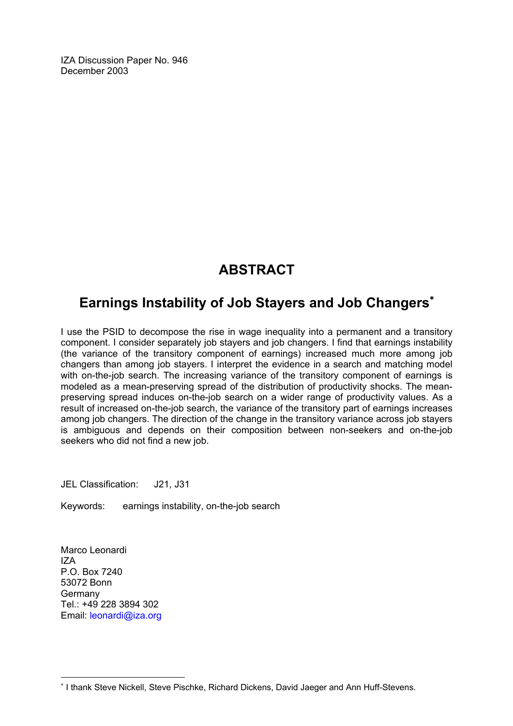IZA Discussion Paper No. 946 December 2003

## **ABSTRACT**

## **Earnings Instability of Job Stayers and Job Changers**[∗](#page-2-0)

I use the PSID to decompose the rise in wage inequality into a permanent and a transitory component. I consider separately job stayers and job changers. I find that earnings instability (the variance of the transitory component of earnings) increased much more among job changers than among job stayers. I interpret the evidence in a search and matching model with on-the-job search. The increasing variance of the transitory component of earnings is modeled as a mean-preserving spread of the distribution of productivity shocks. The meanpreserving spread induces on-the-job search on a wider range of productivity values. As a result of increased on-the-job search, the variance of the transitory part of earnings increases among job changers. The direction of the change in the transitory variance across job stayers is ambiguous and depends on their composition between non-seekers and on-the-job seekers who did not find a new job.

JEL Classification: J21, J31

Keywords: earnings instability, on-the-job search

Marco Leonardi IZA P.O. Box 7240 53072 Bonn Germany Tel.: +49 228 3894 302 Email: [leonardi@iza.org](mailto:leonardi@iza.org)

 $\overline{a}$ 

<span id="page-2-0"></span><sup>∗</sup> I thank Steve Nickell, Steve Pischke, Richard Dickens, David Jaeger and Ann Huff-Stevens.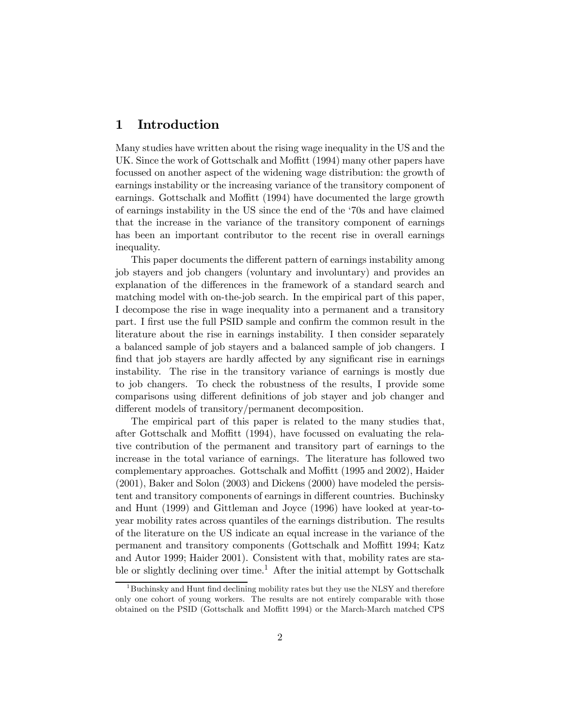#### 1 Introduction

Many studies have written about the rising wage inequality in the US and the UK. Since the work of Gottschalk and Moffitt (1994) many other papers have focussed on another aspect of the widening wage distribution: the growth of earnings instability or the increasing variance of the transitory component of earnings. Gottschalk and Moffitt (1994) have documented the large growth of earnings instability in the US since the end of the '70s and have claimed that the increase in the variance of the transitory component of earnings has been an important contributor to the recent rise in overall earnings inequality.

This paper documents the different pattern of earnings instability among job stayers and job changers (voluntary and involuntary) and provides an explanation of the differences in the framework of a standard search and matching model with on-the-job search. In the empirical part of this paper, I decompose the rise in wage inequality into a permanent and a transitory part. I first use the full PSID sample and confirm the common result in the literature about the rise in earnings instability. I then consider separately a balanced sample of job stayers and a balanced sample of job changers. I find that job stayers are hardly affected by any significant rise in earnings instability. The rise in the transitory variance of earnings is mostly due to job changers. To check the robustness of the results, I provide some comparisons using different definitions of job stayer and job changer and different models of transitory/permanent decomposition.

The empirical part of this paper is related to the many studies that, after Gottschalk and Moffitt (1994), have focussed on evaluating the relative contribution of the permanent and transitory part of earnings to the increase in the total variance of earnings. The literature has followed two complementary approaches. Gottschalk and Moffitt (1995 and 2002), Haider (2001), Baker and Solon (2003) and Dickens (2000) have modeled the persistent and transitory components of earnings in different countries. Buchinsky and Hunt (1999) and Gittleman and Joyce (1996) have looked at year-toyear mobility rates across quantiles of the earnings distribution. The results of the literature on the US indicate an equal increase in the variance of the permanent and transitory components (Gottschalk and Moffitt 1994; Katz and Autor 1999; Haider 2001). Consistent with that, mobility rates are stable or slightly declining over time.<sup>1</sup> After the initial attempt by Gottschalk

 $1$ Buchinsky and Hunt find declining mobility rates but they use the NLSY and therefore only one cohort of young workers. The results are not entirely comparable with those obtained on the PSID (Gottschalk and Moffitt 1994) or the March-March matched CPS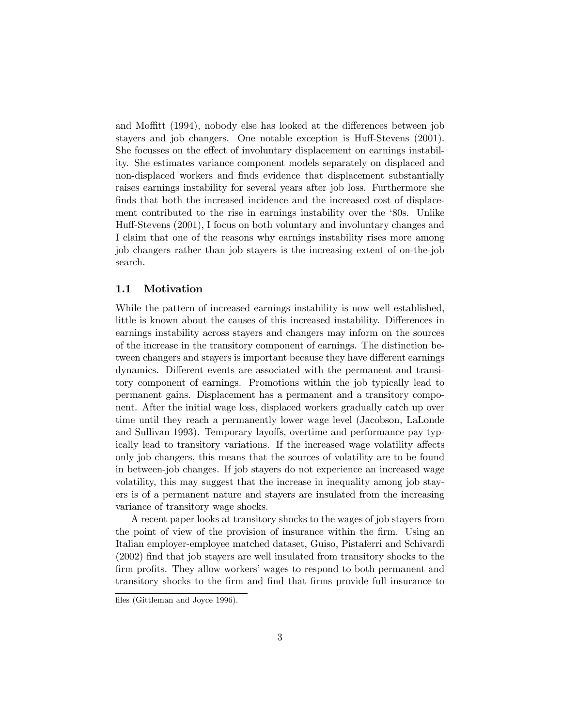and Moffitt (1994), nobody else has looked at the differences between job stayers and job changers. One notable exception is Huff-Stevens (2001). She focusses on the effect of involuntary displacement on earnings instability. She estimates variance component models separately on displaced and non-displaced workers and finds evidence that displacement substantially raises earnings instability for several years after job loss. Furthermore she finds that both the increased incidence and the increased cost of displacement contributed to the rise in earnings instability over the '80s. Unlike Huff-Stevens (2001), I focus on both voluntary and involuntary changes and I claim that one of the reasons why earnings instability rises more among job changers rather than job stayers is the increasing extent of on-the-job search.

#### 1.1 Motivation

While the pattern of increased earnings instability is now well established, little is known about the causes of this increased instability. Differences in earnings instability across stayers and changers may inform on the sources of the increase in the transitory component of earnings. The distinction between changers and stayers is important because they have different earnings dynamics. Different events are associated with the permanent and transitory component of earnings. Promotions within the job typically lead to permanent gains. Displacement has a permanent and a transitory component. After the initial wage loss, displaced workers gradually catch up over time until they reach a permanently lower wage level (Jacobson, LaLonde and Sullivan 1993). Temporary layoffs, overtime and performance pay typically lead to transitory variations. If the increased wage volatility affects only job changers, this means that the sources of volatility are to be found in between-job changes. If job stayers do not experience an increased wage volatility, this may suggest that the increase in inequality among job stayers is of a permanent nature and stayers are insulated from the increasing variance of transitory wage shocks.

A recent paper looks at transitory shocks to the wages of job stayers from the point of view of the provision of insurance within the firm. Using an Italian employer-employee matched dataset, Guiso, Pistaferri and Schivardi (2002) find that job stayers are well insulated from transitory shocks to the firm profits. They allow workers' wages to respond to both permanent and transitory shocks to the firm and find that firms provide full insurance to

files (Gittleman and Joyce 1996).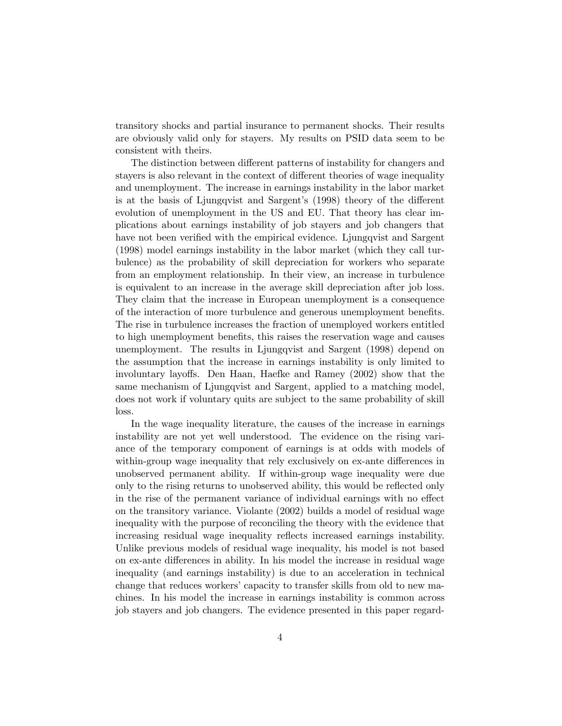transitory shocks and partial insurance to permanent shocks. Their results are obviously valid only for stayers. My results on PSID data seem to be consistent with theirs.

The distinction between different patterns of instability for changers and stayers is also relevant in the context of different theories of wage inequality and unemployment. The increase in earnings instability in the labor market is at the basis of Ljungqvist and Sargent's (1998) theory of the different evolution of unemployment in the US and EU. That theory has clear implications about earnings instability of job stayers and job changers that have not been verified with the empirical evidence. Ljungqvist and Sargent (1998) model earnings instability in the labor market (which they call turbulence) as the probability of skill depreciation for workers who separate from an employment relationship. In their view, an increase in turbulence is equivalent to an increase in the average skill depreciation after job loss. They claim that the increase in European unemployment is a consequence of the interaction of more turbulence and generous unemployment benefits. The rise in turbulence increases the fraction of unemployed workers entitled to high unemployment benefits, this raises the reservation wage and causes unemployment. The results in Ljungqvist and Sargent (1998) depend on the assumption that the increase in earnings instability is only limited to involuntary layoffs. Den Haan, Haefke and Ramey (2002) show that the same mechanism of Ljungqvist and Sargent, applied to a matching model, does not work if voluntary quits are subject to the same probability of skill loss.

In the wage inequality literature, the causes of the increase in earnings instability are not yet well understood. The evidence on the rising variance of the temporary component of earnings is at odds with models of within-group wage inequality that rely exclusively on ex-ante differences in unobserved permanent ability. If within-group wage inequality were due only to the rising returns to unobserved ability, this would be reflected only in the rise of the permanent variance of individual earnings with no effect on the transitory variance. Violante (2002) builds a model of residual wage inequality with the purpose of reconciling the theory with the evidence that increasing residual wage inequality reflects increased earnings instability. Unlike previous models of residual wage inequality, his model is not based on ex-ante differences in ability. In his model the increase in residual wage inequality (and earnings instability) is due to an acceleration in technical change that reduces workers' capacity to transfer skills from old to new machines. In his model the increase in earnings instability is common across job stayers and job changers. The evidence presented in this paper regard-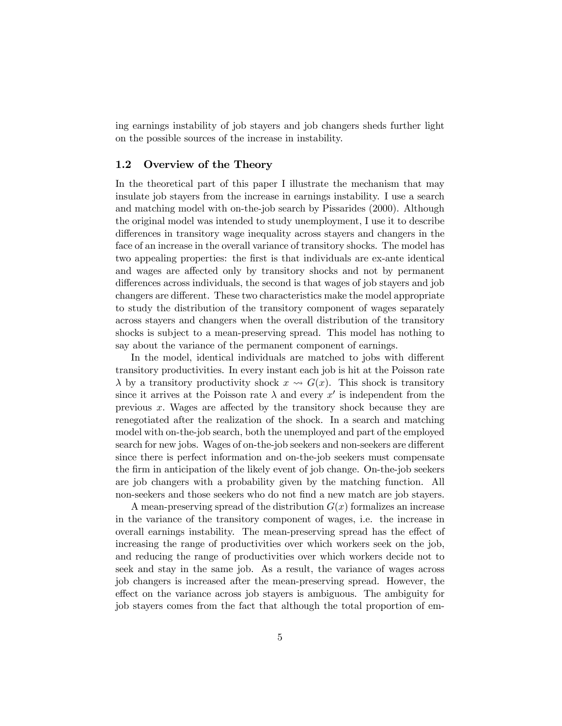ing earnings instability of job stayers and job changers sheds further light on the possible sources of the increase in instability.

#### 1.2 Overview of the Theory

In the theoretical part of this paper I illustrate the mechanism that may insulate job stayers from the increase in earnings instability. I use a search and matching model with on-the-job search by Pissarides (2000). Although the original model was intended to study unemployment, I use it to describe differences in transitory wage inequality across stayers and changers in the face of an increase in the overall variance of transitory shocks. The model has two appealing properties: the first is that individuals are ex-ante identical and wages are affected only by transitory shocks and not by permanent differences across individuals, the second is that wages of job stayers and job changers are different. These two characteristics make the model appropriate to study the distribution of the transitory component of wages separately across stayers and changers when the overall distribution of the transitory shocks is subject to a mean-preserving spread. This model has nothing to say about the variance of the permanent component of earnings.

In the model, identical individuals are matched to jobs with different transitory productivities. In every instant each job is hit at the Poisson rate  $\lambda$  by a transitory productivity shock  $x \rightsquigarrow G(x)$ . This shock is transitory since it arrives at the Poisson rate  $\lambda$  and every x' is independent from the previous  $x$ . Wages are affected by the transitory shock because they are renegotiated after the realization of the shock. In a search and matching model with on-the-job search, both the unemployed and part of the employed search for new jobs. Wages of on-the-job seekers and non-seekers are different since there is perfect information and on-the-job seekers must compensate the firm in anticipation of the likely event of job change. On-the-job seekers are job changers with a probability given by the matching function. All non-seekers and those seekers who do not find a new match are job stayers.

A mean-preserving spread of the distribution  $G(x)$  formalizes an increase in the variance of the transitory component of wages, i.e. the increase in overall earnings instability. The mean-preserving spread has the effect of increasing the range of productivities over which workers seek on the job, and reducing the range of productivities over which workers decide not to seek and stay in the same job. As a result, the variance of wages across job changers is increased after the mean-preserving spread. However, the effect on the variance across job stayers is ambiguous. The ambiguity for job stayers comes from the fact that although the total proportion of em-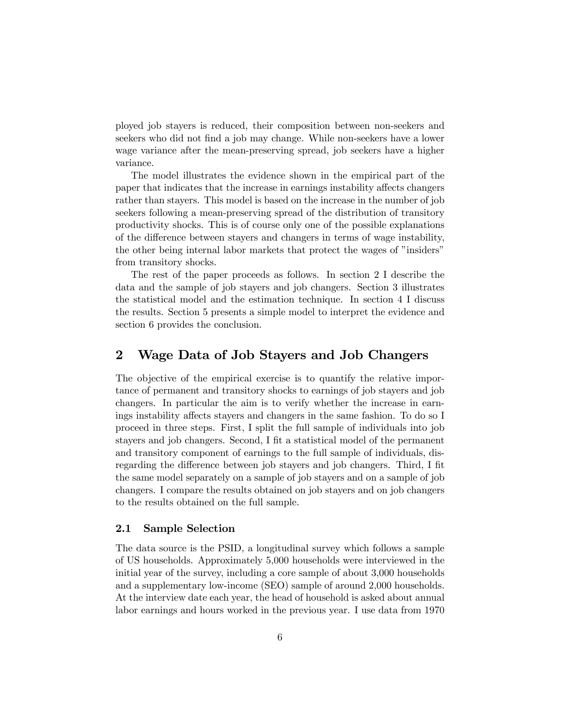ployed job stayers is reduced, their composition between non-seekers and seekers who did not find a job may change. While non-seekers have a lower wage variance after the mean-preserving spread, job seekers have a higher variance.

The model illustrates the evidence shown in the empirical part of the paper that indicates that the increase in earnings instability affects changers rather than stayers. This model is based on the increase in the number of job seekers following a mean-preserving spread of the distribution of transitory productivity shocks. This is of course only one of the possible explanations of the difference between stayers and changers in terms of wage instability, the other being internal labor markets that protect the wages of "insiders" from transitory shocks.

The rest of the paper proceeds as follows. In section 2 I describe the data and the sample of job stayers and job changers. Section 3 illustrates the statistical model and the estimation technique. In section 4 I discuss the results. Section 5 presents a simple model to interpret the evidence and section 6 provides the conclusion.

#### 2 Wage Data of Job Stayers and Job Changers

The objective of the empirical exercise is to quantify the relative importance of permanent and transitory shocks to earnings of job stayers and job changers. In particular the aim is to verify whether the increase in earnings instability affects stayers and changers in the same fashion. To do so I proceed in three steps. First, I split the full sample of individuals into job stayers and job changers. Second, I fit a statistical model of the permanent and transitory component of earnings to the full sample of individuals, disregarding the difference between job stayers and job changers. Third, I fit the same model separately on a sample of job stayers and on a sample of job changers. I compare the results obtained on job stayers and on job changers to the results obtained on the full sample.

#### 2.1 Sample Selection

The data source is the PSID, a longitudinal survey which follows a sample of US households. Approximately 5,000 households were interviewed in the initial year of the survey, including a core sample of about 3,000 households and a supplementary low-income (SEO) sample of around 2,000 households. At the interview date each year, the head of household is asked about annual labor earnings and hours worked in the previous year. I use data from 1970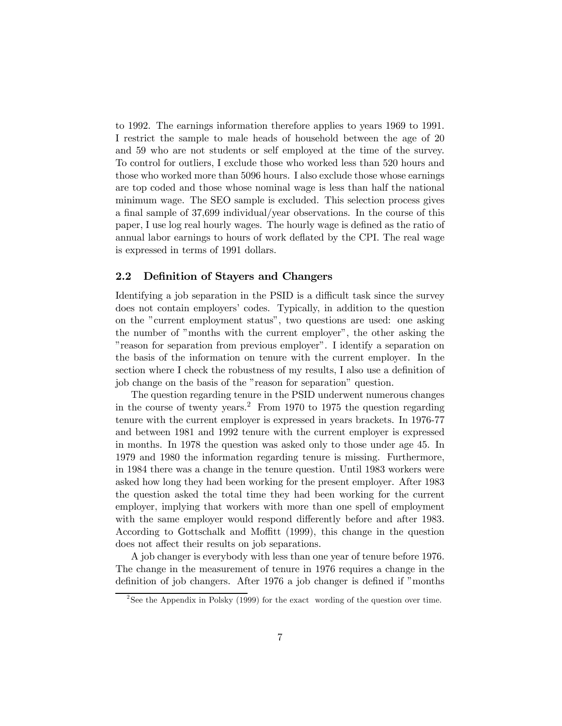to 1992. The earnings information therefore applies to years 1969 to 1991. I restrict the sample to male heads of household between the age of 20 and 59 who are not students or self employed at the time of the survey. To control for outliers, I exclude those who worked less than 520 hours and those who worked more than 5096 hours. I also exclude those whose earnings are top coded and those whose nominal wage is less than half the national minimum wage. The SEO sample is excluded. This selection process gives a final sample of 37,699 individual/year observations. In the course of this paper, I use log real hourly wages. The hourly wage is defined as the ratio of annual labor earnings to hours of work deflated by the CPI. The real wage is expressed in terms of 1991 dollars.

#### 2.2 Definition of Stayers and Changers

Identifying a job separation in the PSID is a difficult task since the survey does not contain employers' codes. Typically, in addition to the question on the "current employment status", two questions are used: one asking the number of "months with the current employer", the other asking the "reason for separation from previous employer". I identify a separation on the basis of the information on tenure with the current employer. In the section where I check the robustness of my results, I also use a definition of job change on the basis of the "reason for separation" question.

The question regarding tenure in the PSID underwent numerous changes in the course of twenty years.<sup>2</sup> From 1970 to 1975 the question regarding tenure with the current employer is expressed in years brackets. In 1976-77 and between 1981 and 1992 tenure with the current employer is expressed in months. In 1978 the question was asked only to those under age 45. In 1979 and 1980 the information regarding tenure is missing. Furthermore, in 1984 there was a change in the tenure question. Until 1983 workers were asked how long they had been working for the present employer. After 1983 the question asked the total time they had been working for the current employer, implying that workers with more than one spell of employment with the same employer would respond differently before and after 1983. According to Gottschalk and Moffitt (1999), this change in the question does not affect their results on job separations.

A job changer is everybody with less than one year of tenure before 1976. The change in the measurement of tenure in 1976 requires a change in the definition of job changers. After 1976 a job changer is defined if "months

<sup>&</sup>lt;sup>2</sup>See the Appendix in Polsky (1999) for the exact wording of the question over time.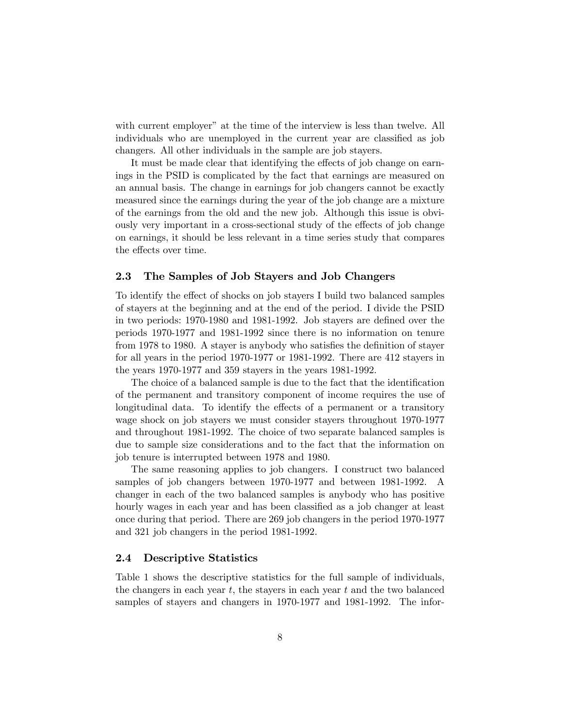with current employer" at the time of the interview is less than twelve. All individuals who are unemployed in the current year are classified as job changers. All other individuals in the sample are job stayers.

It must be made clear that identifying the effects of job change on earnings in the PSID is complicated by the fact that earnings are measured on an annual basis. The change in earnings for job changers cannot be exactly measured since the earnings during the year of the job change are a mixture of the earnings from the old and the new job. Although this issue is obviously very important in a cross-sectional study of the effects of job change on earnings, it should be less relevant in a time series study that compares the effects over time.

#### 2.3 The Samples of Job Stayers and Job Changers

To identify the effect of shocks on job stayers I build two balanced samples of stayers at the beginning and at the end of the period. I divide the PSID in two periods: 1970-1980 and 1981-1992. Job stayers are defined over the periods 1970-1977 and 1981-1992 since there is no information on tenure from 1978 to 1980. A stayer is anybody who satisfies the definition of stayer for all years in the period 1970-1977 or 1981-1992. There are 412 stayers in the years 1970-1977 and 359 stayers in the years 1981-1992.

The choice of a balanced sample is due to the fact that the identification of the permanent and transitory component of income requires the use of longitudinal data. To identify the effects of a permanent or a transitory wage shock on job stayers we must consider stayers throughout 1970-1977 and throughout 1981-1992. The choice of two separate balanced samples is due to sample size considerations and to the fact that the information on job tenure is interrupted between 1978 and 1980.

The same reasoning applies to job changers. I construct two balanced samples of job changers between 1970-1977 and between 1981-1992. A changer in each of the two balanced samples is anybody who has positive hourly wages in each year and has been classified as a job changer at least once during that period. There are 269 job changers in the period 1970-1977 and 321 job changers in the period 1981-1992.

#### 2.4 Descriptive Statistics

Table 1 shows the descriptive statistics for the full sample of individuals, the changers in each year  $t$ , the stayers in each year  $t$  and the two balanced samples of stayers and changers in 1970-1977 and 1981-1992. The infor-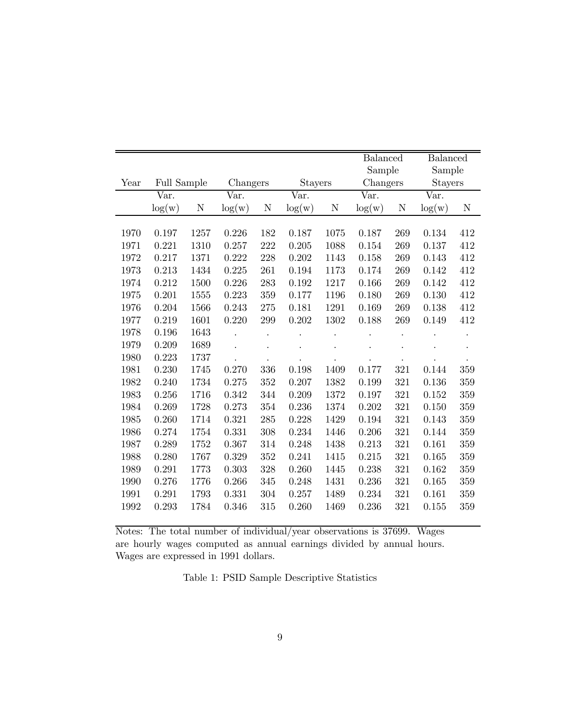|      |                        |      |           |         |                           |      | <b>Balanced</b> |             | <b>Balanced</b>           |     |
|------|------------------------|------|-----------|---------|---------------------------|------|-----------------|-------------|---------------------------|-----|
|      |                        |      |           |         |                           |      | Sample          |             | Sample                    |     |
| Year | <b>Full Sample</b>     |      | Changers  |         | Stayers                   |      | Changers        |             | <b>Stayers</b>            |     |
|      | $\bar{\mathbf{V}}$ ar. |      | Var.      |         | $\overline{\text{Var}}$ . |      | Var.            |             | $\overline{\text{Var}}$ . |     |
|      | $\log(w)$              | N    | $\log(w)$ | N       | $\log(w)$                 | N    | $\log(w)$       | $\mathbf N$ | $\log(w)$                 | N   |
|      |                        |      |           |         |                           |      |                 |             |                           |     |
| 1970 | 0.197                  | 1257 | 0.226     | 182     | 0.187                     | 1075 | 0.187           | 269         | 0.134                     | 412 |
| 1971 | 0.221                  | 1310 | 0.257     | 222     | 0.205                     | 1088 | 0.154           | 269         | 0.137                     | 412 |
| 1972 | 0.217                  | 1371 | 0.222     | 228     | 0.202                     | 1143 | 0.158           | 269         | 0.143                     | 412 |
| 1973 | 0.213                  | 1434 | 0.225     | 261     | 0.194                     | 1173 | 0.174           | 269         | 0.142                     | 412 |
| 1974 | 0.212                  | 1500 | 0.226     | 283     | 0.192                     | 1217 | 0.166           | 269         | 0.142                     | 412 |
| 1975 | 0.201                  | 1555 | 0.223     | 359     | 0.177                     | 1196 | 0.180           | 269         | 0.130                     | 412 |
| 1976 | 0.204                  | 1566 | 0.243     | 275     | 0.181                     | 1291 | 0.169           | 269         | 0.138                     | 412 |
| 1977 | 0.219                  | 1601 | 0.220     | 299     | 0.202                     | 1302 | 0.188           | 269         | 0.149                     | 412 |
| 1978 | 0.196                  | 1643 |           |         |                           |      |                 |             |                           |     |
| 1979 | 0.209                  | 1689 |           |         |                           |      |                 |             |                           |     |
| 1980 | 0.223                  | 1737 |           |         |                           |      |                 |             |                           |     |
| 1981 | 0.230                  | 1745 | 0.270     | 336     | 0.198                     | 1409 | 0.177           | 321         | 0.144                     | 359 |
| 1982 | 0.240                  | 1734 | 0.275     | 352     | 0.207                     | 1382 | 0.199           | 321         | 0.136                     | 359 |
| 1983 | 0.256                  | 1716 | 0.342     | 344     | 0.209                     | 1372 | 0.197           | 321         | 0.152                     | 359 |
| 1984 | 0.269                  | 1728 | 0.273     | 354     | 0.236                     | 1374 | 0.202           | 321         | 0.150                     | 359 |
| 1985 | 0.260                  | 1714 | 0.321     | 285     | 0.228                     | 1429 | 0.194           | 321         | 0.143                     | 359 |
| 1986 | 0.274                  | 1754 | 0.331     | 308     | 0.234                     | 1446 | 0.206           | 321         | 0.144                     | 359 |
| 1987 | 0.289                  | 1752 | 0.367     | 314     | 0.248                     | 1438 | 0.213           | 321         | 0.161                     | 359 |
| 1988 | 0.280                  | 1767 | 0.329     | $352\,$ | 0.241                     | 1415 | 0.215           | 321         | 0.165                     | 359 |
| 1989 | 0.291                  | 1773 | 0.303     | 328     | 0.260                     | 1445 | 0.238           | 321         | $\,0.162\,$               | 359 |
| 1990 | 0.276                  | 1776 | 0.266     | 345     | 0.248                     | 1431 | 0.236           | 321         | 0.165                     | 359 |
| 1991 | 0.291                  | 1793 | 0.331     | 304     | 0.257                     | 1489 | 0.234           | 321         | 0.161                     | 359 |
| 1992 | 0.293                  | 1784 | 0.346     | 315     | 0.260                     | 1469 | 0.236           | 321         | $0.155\,$                 | 359 |

Notes: The total number of individual/year observations is 37699. Wages are hourly wages computed as annual earnings divided by annual hours. Wages are expressed in 1991 dollars.

Table 1: PSID Sample Descriptive Statistics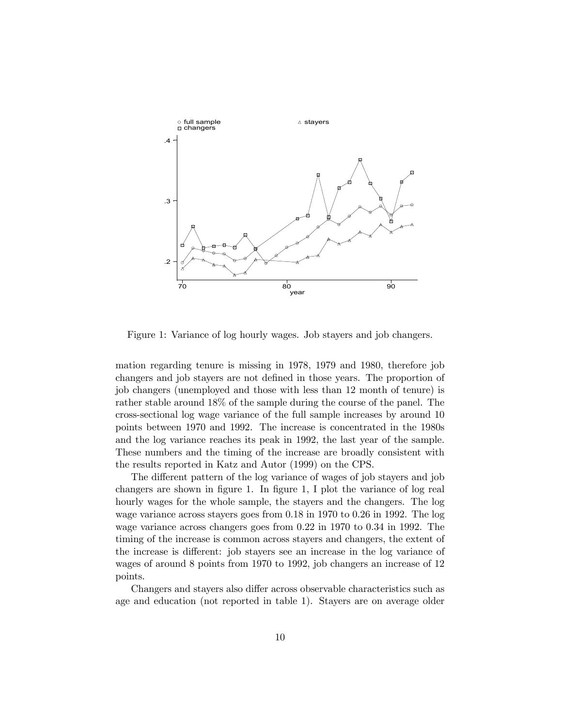

Figure 1: Variance of log hourly wages. Job stayers and job changers.

mation regarding tenure is missing in 1978, 1979 and 1980, therefore job changers and job stayers are not defined in those years. The proportion of job changers (unemployed and those with less than 12 month of tenure) is rather stable around 18% of the sample during the course of the panel. The cross-sectional log wage variance of the full sample increases by around 10 points between 1970 and 1992. The increase is concentrated in the 1980s and the log variance reaches its peak in 1992, the last year of the sample. These numbers and the timing of the increase are broadly consistent with the results reported in Katz and Autor (1999) on the CPS.

The different pattern of the log variance of wages of job stayers and job changers are shown in figure 1. In figure 1, I plot the variance of log real hourly wages for the whole sample, the stayers and the changers. The log wage variance across stayers goes from 0.18 in 1970 to 0.26 in 1992. The log wage variance across changers goes from 0.22 in 1970 to 0.34 in 1992. The timing of the increase is common across stayers and changers, the extent of the increase is different: job stayers see an increase in the log variance of wages of around 8 points from 1970 to 1992, job changers an increase of 12 points.

Changers and stayers also differ across observable characteristics such as age and education (not reported in table 1). Stayers are on average older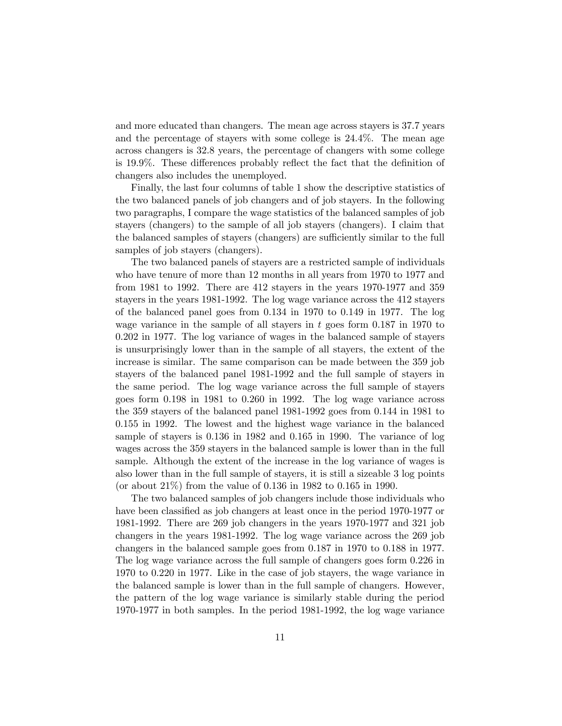and more educated than changers. The mean age across stayers is 37.7 years and the percentage of stayers with some college is 24.4%. The mean age across changers is 32.8 years, the percentage of changers with some college is 19.9%. These differences probably reflect the fact that the definition of changers also includes the unemployed.

Finally, the last four columns of table 1 show the descriptive statistics of the two balanced panels of job changers and of job stayers. In the following two paragraphs, I compare the wage statistics of the balanced samples of job stayers (changers) to the sample of all job stayers (changers). I claim that the balanced samples of stayers (changers) are sufficiently similar to the full samples of job stayers (changers).

The two balanced panels of stayers are a restricted sample of individuals who have tenure of more than 12 months in all years from 1970 to 1977 and from 1981 to 1992. There are 412 stayers in the years 1970-1977 and 359 stayers in the years 1981-1992. The log wage variance across the 412 stayers of the balanced panel goes from 0.134 in 1970 to 0.149 in 1977. The log wage variance in the sample of all stayers in  $t$  goes form 0.187 in 1970 to 0.202 in 1977. The log variance of wages in the balanced sample of stayers is unsurprisingly lower than in the sample of all stayers, the extent of the increase is similar. The same comparison can be made between the 359 job stayers of the balanced panel 1981-1992 and the full sample of stayers in the same period. The log wage variance across the full sample of stayers goes form 0.198 in 1981 to 0.260 in 1992. The log wage variance across the 359 stayers of the balanced panel 1981-1992 goes from 0.144 in 1981 to 0.155 in 1992. The lowest and the highest wage variance in the balanced sample of stayers is 0.136 in 1982 and 0.165 in 1990. The variance of log wages across the 359 stayers in the balanced sample is lower than in the full sample. Although the extent of the increase in the log variance of wages is also lower than in the full sample of stayers, it is still a sizeable 3 log points (or about 21%) from the value of 0.136 in 1982 to 0.165 in 1990.

The two balanced samples of job changers include those individuals who have been classified as job changers at least once in the period 1970-1977 or 1981-1992. There are 269 job changers in the years 1970-1977 and 321 job changers in the years 1981-1992. The log wage variance across the 269 job changers in the balanced sample goes from 0.187 in 1970 to 0.188 in 1977. The log wage variance across the full sample of changers goes form 0.226 in 1970 to 0.220 in 1977. Like in the case of job stayers, the wage variance in the balanced sample is lower than in the full sample of changers. However, the pattern of the log wage variance is similarly stable during the period 1970-1977 in both samples. In the period 1981-1992, the log wage variance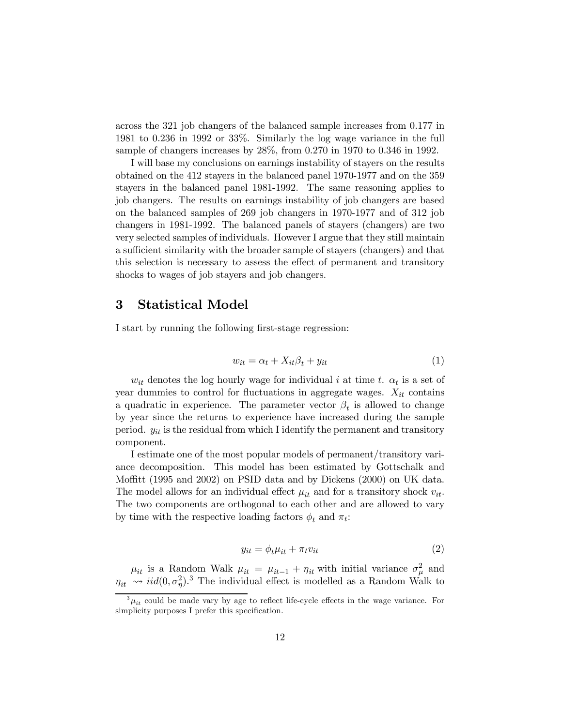across the 321 job changers of the balanced sample increases from 0.177 in 1981 to 0.236 in 1992 or 33%. Similarly the log wage variance in the full sample of changers increases by 28%, from 0.270 in 1970 to 0.346 in 1992.

I will base my conclusions on earnings instability of stayers on the results obtained on the 412 stayers in the balanced panel 1970-1977 and on the 359 stayers in the balanced panel 1981-1992. The same reasoning applies to job changers. The results on earnings instability of job changers are based on the balanced samples of 269 job changers in 1970-1977 and of 312 job changers in 1981-1992. The balanced panels of stayers (changers) are two very selected samples of individuals. However I argue that they still maintain a sufficient similarity with the broader sample of stayers (changers) and that this selection is necessary to assess the effect of permanent and transitory shocks to wages of job stayers and job changers.

#### 3 Statistical Model

I start by running the following first-stage regression:

$$
w_{it} = \alpha_t + X_{it}\beta_t + y_{it} \tag{1}
$$

 $w_{it}$  denotes the log hourly wage for individual i at time t.  $\alpha_t$  is a set of year dummies to control for fluctuations in aggregate wages.  $X_{it}$  contains a quadratic in experience. The parameter vector  $\beta_t$  is allowed to change by year since the returns to experience have increased during the sample period.  $y_{it}$  is the residual from which I identify the permanent and transitory component.

I estimate one of the most popular models of permanent/transitory variance decomposition. This model has been estimated by Gottschalk and Moffitt (1995 and 2002) on PSID data and by Dickens (2000) on UK data. The model allows for an individual effect  $\mu_{it}$  and for a transitory shock  $v_{it}$ . The two components are orthogonal to each other and are allowed to vary by time with the respective loading factors  $\phi_t$  and  $\pi_t$ :

$$
y_{it} = \phi_t \mu_{it} + \pi_t v_{it} \tag{2}
$$

 $\mu_{it}$  is a Random Walk  $\mu_{it} = \mu_{it-1} + \eta_{it}$  with initial variance  $\sigma_{\mu}^2$  and  $\eta_{it} \rightarrow \dot{i}id(0, \sigma_{\eta}^2)^3$ . The individual effect is modelled as a Random Walk to

 $^{3}\mu_{it}$  could be made vary by age to reflect life-cycle effects in the wage variance. For simplicity purposes I prefer this specification.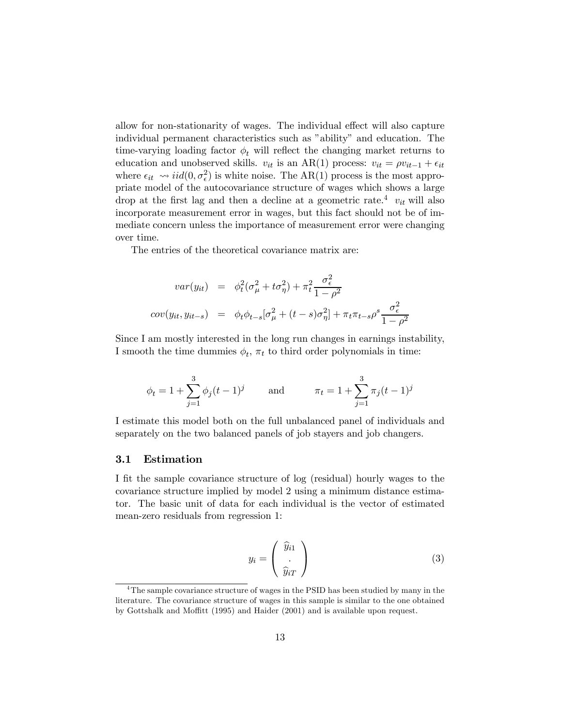allow for non-stationarity of wages. The individual effect will also capture individual permanent characteristics such as "ability" and education. The time-varying loading factor  $\phi_t$  will reflect the changing market returns to education and unobserved skills.  $v_{it}$  is an AR(1) process:  $v_{it} = \rho v_{it-1} + \epsilon_{it}$ where  $\epsilon_{it} \sim \text{iid}(0, \sigma_{\epsilon}^2)$  is white noise. The AR(1) process is the most appropriate model of the autocovariance structure of wages which shows a large drop at the first lag and then a decline at a geometric rate.<sup>4</sup>  $v_{it}$  will also incorporate measurement error in wages, but this fact should not be of immediate concern unless the importance of measurement error were changing over time.

The entries of the theoretical covariance matrix are:

$$
var(y_{it}) = \phi_t^2(\sigma_\mu^2 + t\sigma_\eta^2) + \pi_t^2 \frac{\sigma_\epsilon^2}{1 - \rho^2}
$$
  

$$
cov(y_{it}, y_{it-s}) = \phi_t \phi_{t-s} [\sigma_\mu^2 + (t-s)\sigma_\eta^2] + \pi_t \pi_{t-s} \rho^s \frac{\sigma_\epsilon^2}{1 - \rho^2}
$$

Since I am mostly interested in the long run changes in earnings instability, I smooth the time dummies  $\phi_t$ ,  $\pi_t$  to third order polynomials in time:

$$
\phi_t = 1 + \sum_{j=1}^3 \phi_j (t-1)^j
$$
 and  $\pi_t = 1 + \sum_{j=1}^3 \pi_j (t-1)^j$ 

I estimate this model both on the full unbalanced panel of individuals and separately on the two balanced panels of job stayers and job changers.

#### 3.1 Estimation

I fit the sample covariance structure of log (residual) hourly wages to the covariance structure implied by model 2 using a minimum distance estimator. The basic unit of data for each individual is the vector of estimated mean-zero residuals from regression 1:

$$
y_i = \begin{pmatrix} \widehat{y}_{i1} \\ \vdots \\ \widehat{y}_{iT} \end{pmatrix} \tag{3}
$$

<sup>&</sup>lt;sup>4</sup>The sample covariance structure of wages in the PSID has been studied by many in the literature. The covariance structure of wages in this sample is similar to the one obtained by Gottshalk and Moffitt (1995) and Haider (2001) and is available upon request.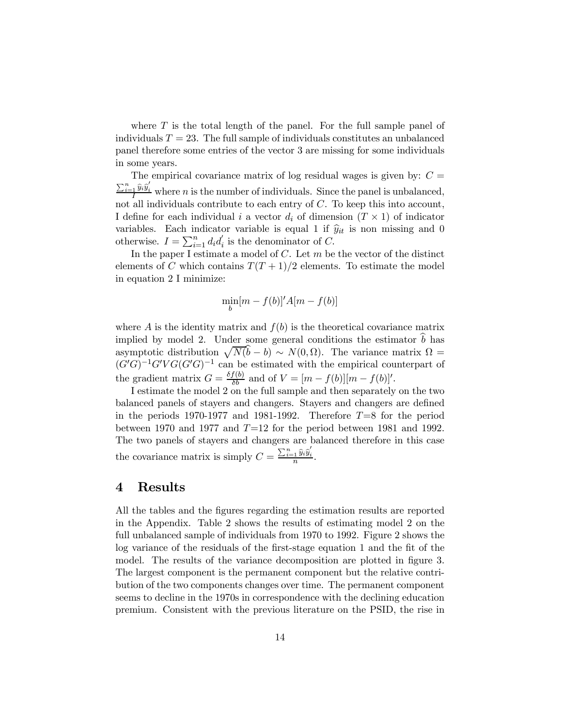where  $T$  is the total length of the panel. For the full sample panel of individuals  $T = 23$ . The full sample of individuals constitutes an unbalanced panel therefore some entries of the vector 3 are missing for some individuals in some years.

The empirical covariance matrix of log residual wages is given by:  $C =$  $\frac{\sum_{i=1}^{n} \hat{y}_i \hat{y}'_i}{I}$  where n is the number of individuals. Since the panel is unbalanced, not all individuals contribute to each entry of  $C$ . To keep this into account, I define for each individual i a vector  $d_i$  of dimension  $(T \times 1)$  of indicator variables. Each indicator variable is equal 1 if  $\hat{y}_{it}$  is non missing and 0 otherwise.  $I = \sum_{i=1}^{n} d_i d_i'$  is the denominator of C.

In the paper I estimate a model of  $C$ . Let  $m$  be the vector of the distinct elements of C which contains  $T(T+1)/2$  elements. To estimate the model in equation 2 I minimize:

$$
\min_b[m - f(b)]'A[m - f(b)]
$$

where  $A$  is the identity matrix and  $f(b)$  is the theoretical covariance matrix implied by model 2. Under some general conditions the estimator  $b$  has asymptotic distribution  $\sqrt{N(b - b)} \sim N(0, \Omega)$ . The variance matrix  $\Omega =$  $(G'G)^{-1}G'VG(G'G)^{-1}$  can be estimated with the empirical counterpart of the gradient matrix  $G = \frac{\delta f(b)}{\delta b}$  and of  $V = [m - f(b)][m - f(b)]'$ .

I estimate the model 2 on the full sample and then separately on the two balanced panels of stayers and changers. Stayers and changers are defined in the periods 1970-1977 and 1981-1992. Therefore  $T=8$  for the period between 1970 and 1977 and  $T=12$  for the period between 1981 and 1992. The two panels of stayers and changers are balanced therefore in this case the covariance matrix is simply  $C = \frac{\sum_{i=1}^{n} \hat{y}_i \hat{y}'_i}{n}$ .

#### 4 Results

All the tables and the figures regarding the estimation results are reported in the Appendix. Table 2 shows the results of estimating model 2 on the full unbalanced sample of individuals from 1970 to 1992. Figure 2 shows the log variance of the residuals of the first-stage equation 1 and the fit of the model. The results of the variance decomposition are plotted in figure 3. The largest component is the permanent component but the relative contribution of the two components changes over time. The permanent component seems to decline in the 1970s in correspondence with the declining education premium. Consistent with the previous literature on the PSID, the rise in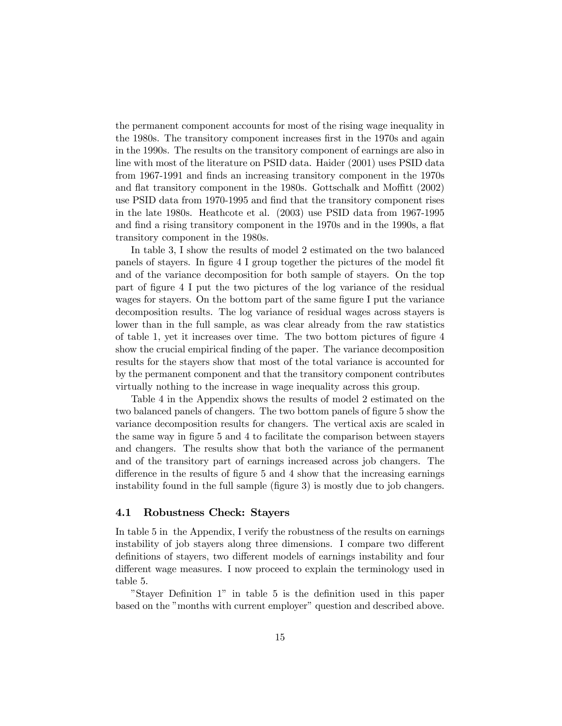the permanent component accounts for most of the rising wage inequality in the 1980s. The transitory component increases first in the 1970s and again in the 1990s. The results on the transitory component of earnings are also in line with most of the literature on PSID data. Haider (2001) uses PSID data from 1967-1991 and finds an increasing transitory component in the 1970s and flat transitory component in the 1980s. Gottschalk and Moffitt (2002) use PSID data from 1970-1995 and find that the transitory component rises in the late 1980s. Heathcote et al. (2003) use PSID data from 1967-1995 and find a rising transitory component in the 1970s and in the 1990s, a flat transitory component in the 1980s.

In table 3, I show the results of model 2 estimated on the two balanced panels of stayers. In figure 4 I group together the pictures of the model fit and of the variance decomposition for both sample of stayers. On the top part of figure 4 I put the two pictures of the log variance of the residual wages for stayers. On the bottom part of the same figure I put the variance decomposition results. The log variance of residual wages across stayers is lower than in the full sample, as was clear already from the raw statistics of table 1, yet it increases over time. The two bottom pictures of figure 4 show the crucial empirical finding of the paper. The variance decomposition results for the stayers show that most of the total variance is accounted for by the permanent component and that the transitory component contributes virtually nothing to the increase in wage inequality across this group.

Table 4 in the Appendix shows the results of model 2 estimated on the two balanced panels of changers. The two bottom panels of figure 5 show the variance decomposition results for changers. The vertical axis are scaled in the same way in figure 5 and 4 to facilitate the comparison between stayers and changers. The results show that both the variance of the permanent and of the transitory part of earnings increased across job changers. The difference in the results of figure 5 and 4 show that the increasing earnings instability found in the full sample (figure 3) is mostly due to job changers.

#### 4.1 Robustness Check: Stayers

In table 5 in the Appendix, I verify the robustness of the results on earnings instability of job stayers along three dimensions. I compare two different definitions of stayers, two different models of earnings instability and four different wage measures. I now proceed to explain the terminology used in table 5.

"Stayer Definition 1" in table 5 is the definition used in this paper based on the "months with current employer" question and described above.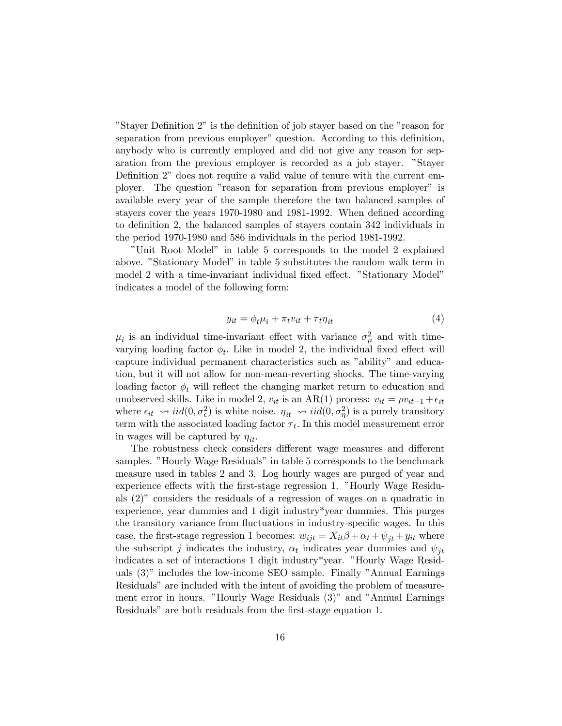"Stayer Definition 2" is the definition of job stayer based on the "reason for separation from previous employer" question. According to this definition, anybody who is currently employed and did not give any reason for separation from the previous employer is recorded as a job stayer. "Stayer Definition 2" does not require a valid value of tenure with the current employer. The question "reason for separation from previous employer" is available every year of the sample therefore the two balanced samples of stayers cover the years 1970-1980 and 1981-1992. When defined according to definition 2, the balanced samples of stayers contain 342 individuals in the period 1970-1980 and 586 individuals in the period 1981-1992.

"Unit Root Model" in table 5 corresponds to the model 2 explained above. "Stationary Model" in table 5 substitutes the random walk term in model 2 with a time-invariant individual fixed effect. "Stationary Model" indicates a model of the following form:

$$
y_{it} = \phi_t \mu_i + \pi_t v_{it} + \tau_t \eta_{it} \tag{4}
$$

 $\mu_i$  is an individual time-invariant effect with variance  $\sigma_\mu^2$  and with timevarying loading factor  $\phi_t$ . Like in model 2, the individual fixed effect will capture individual permanent characteristics such as "ability" and education, but it will not allow for non-mean-reverting shocks. The time-varying loading factor  $\phi_t$  will reflect the changing market return to education and unobserved skills. Like in model 2,  $v_{it}$  is an AR(1) process:  $v_{it} = \rho v_{it-1} + \epsilon_{it}$ where  $\epsilon_{it} \sim \text{iid}(0, \sigma_{\epsilon}^2)$  is white noise.  $\eta_{it} \sim \text{iid}(0, \sigma_{\eta}^2)$  is a purely transitory term with the associated loading factor  $\tau_t$ . In this model measurement error in wages will be captured by  $\eta_{it}$ .

The robustness check considers different wage measures and different samples. "Hourly Wage Residuals" in table 5 corresponds to the benchmark measure used in tables 2 and 3. Log hourly wages are purged of year and experience effects with the first-stage regression 1. "Hourly Wage Residuals (2)" considers the residuals of a regression of wages on a quadratic in experience, year dummies and 1 digit industry\*year dummies. This purges the transitory variance from fluctuations in industry-specific wages. In this case, the first-stage regression 1 becomes:  $w_{ijt} = X_{it}\beta + \alpha_t + \psi_{it} + y_{it}$  where the subscript j indicates the industry,  $\alpha_t$  indicates year dummies and  $\psi_{it}$ indicates a set of interactions 1 digit industry\*year. "Hourly Wage Residuals (3)" includes the low-income SEO sample. Finally "Annual Earnings Residuals" are included with the intent of avoiding the problem of measurement error in hours. "Hourly Wage Residuals (3)" and "Annual Earnings Residuals" are both residuals from the first-stage equation 1.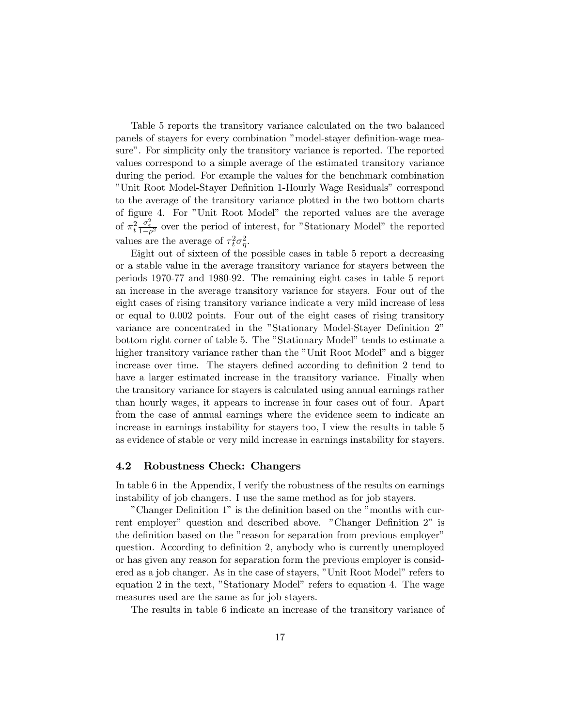Table 5 reports the transitory variance calculated on the two balanced panels of stayers for every combination "model-stayer definition-wage measure". For simplicity only the transitory variance is reported. The reported values correspond to a simple average of the estimated transitory variance during the period. For example the values for the benchmark combination "Unit Root Model-Stayer Definition 1-Hourly Wage Residuals" correspond to the average of the transitory variance plotted in the two bottom charts of figure 4. For "Unit Root Model" the reported values are the average of  $\pi_t^2$  $\frac{\sigma_{\epsilon}^2}{1-\rho^2}$  over the period of interest, for "Stationary Model" the reported values are the average of  $\tau_t^2 \sigma_{\eta}^2$ .

Eight out of sixteen of the possible cases in table 5 report a decreasing or a stable value in the average transitory variance for stayers between the periods 1970-77 and 1980-92. The remaining eight cases in table 5 report an increase in the average transitory variance for stayers. Four out of the eight cases of rising transitory variance indicate a very mild increase of less or equal to 0.002 points. Four out of the eight cases of rising transitory variance are concentrated in the "Stationary Model-Stayer Definition 2" bottom right corner of table 5. The "Stationary Model" tends to estimate a higher transitory variance rather than the "Unit Root Model" and a bigger increase over time. The stayers defined according to definition 2 tend to have a larger estimated increase in the transitory variance. Finally when the transitory variance for stayers is calculated using annual earnings rather than hourly wages, it appears to increase in four cases out of four. Apart from the case of annual earnings where the evidence seem to indicate an increase in earnings instability for stayers too, I view the results in table 5 as evidence of stable or very mild increase in earnings instability for stayers.

#### 4.2 Robustness Check: Changers

In table 6 in the Appendix, I verify the robustness of the results on earnings instability of job changers. I use the same method as for job stayers.

"Changer Definition 1" is the definition based on the "months with current employer" question and described above. "Changer Definition 2" is the definition based on the "reason for separation from previous employer" question. According to definition 2, anybody who is currently unemployed or has given any reason for separation form the previous employer is considered as a job changer. As in the case of stayers, "Unit Root Model" refers to equation 2 in the text, "Stationary Model" refers to equation 4. The wage measures used are the same as for job stayers.

The results in table 6 indicate an increase of the transitory variance of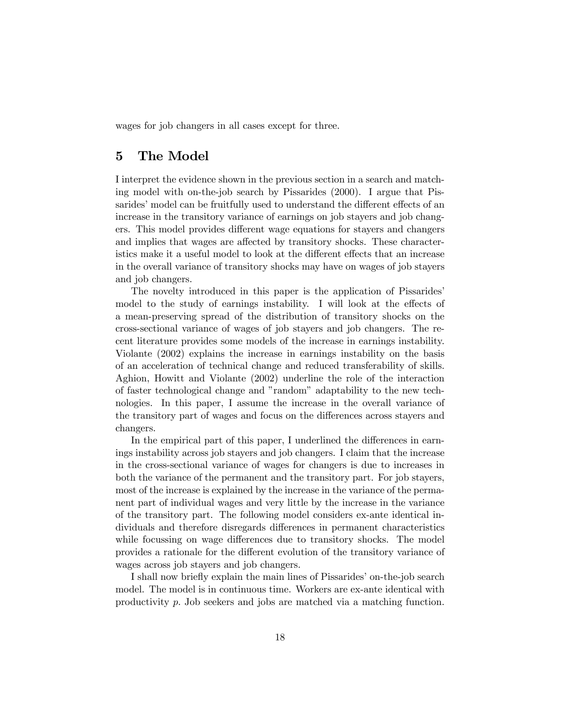wages for job changers in all cases except for three.

#### 5 The Model

I interpret the evidence shown in the previous section in a search and matching model with on-the-job search by Pissarides (2000). I argue that Pissarides' model can be fruitfully used to understand the different effects of an increase in the transitory variance of earnings on job stayers and job changers. This model provides different wage equations for stayers and changers and implies that wages are affected by transitory shocks. These characteristics make it a useful model to look at the different effects that an increase in the overall variance of transitory shocks may have on wages of job stayers and job changers.

The novelty introduced in this paper is the application of Pissarides' model to the study of earnings instability. I will look at the effects of a mean-preserving spread of the distribution of transitory shocks on the cross-sectional variance of wages of job stayers and job changers. The recent literature provides some models of the increase in earnings instability. Violante (2002) explains the increase in earnings instability on the basis of an acceleration of technical change and reduced transferability of skills. Aghion, Howitt and Violante (2002) underline the role of the interaction of faster technological change and "random" adaptability to the new technologies. In this paper, I assume the increase in the overall variance of the transitory part of wages and focus on the differences across stayers and changers.

In the empirical part of this paper, I underlined the differences in earnings instability across job stayers and job changers. I claim that the increase in the cross-sectional variance of wages for changers is due to increases in both the variance of the permanent and the transitory part. For job stayers, most of the increase is explained by the increase in the variance of the permanent part of individual wages and very little by the increase in the variance of the transitory part. The following model considers ex-ante identical individuals and therefore disregards differences in permanent characteristics while focussing on wage differences due to transitory shocks. The model provides a rationale for the different evolution of the transitory variance of wages across job stayers and job changers.

I shall now briefly explain the main lines of Pissarides' on-the-job search model. The model is in continuous time. Workers are ex-ante identical with productivity p. Job seekers and jobs are matched via a matching function.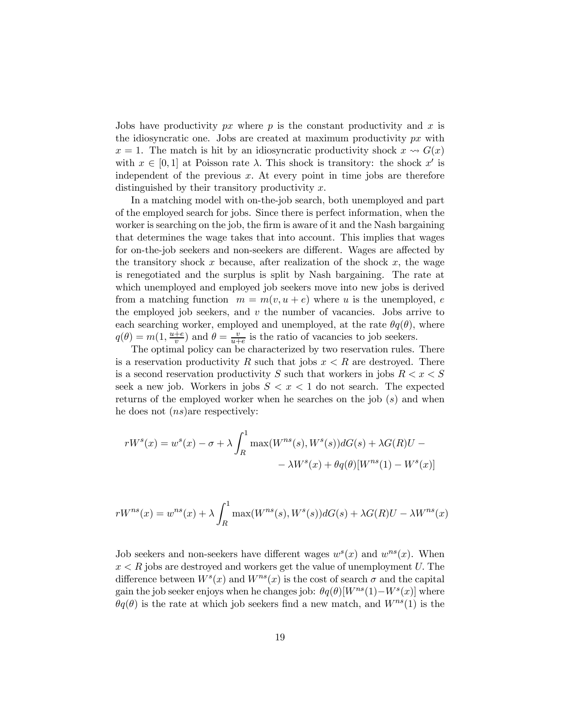Jobs have productivity  $px$  where  $p$  is the constant productivity and  $x$  is the idiosyncratic one. Jobs are created at maximum productivity  $px$  with  $x = 1$ . The match is hit by an idiosyncratic productivity shock  $x \rightsquigarrow G(x)$ with  $x \in [0, 1]$  at Poisson rate  $\lambda$ . This shock is transitory: the shock  $x'$  is independent of the previous  $x$ . At every point in time jobs are therefore distinguished by their transitory productivity x.

In a matching model with on-the-job search, both unemployed and part of the employed search for jobs. Since there is perfect information, when the worker is searching on the job, the firm is aware of it and the Nash bargaining that determines the wage takes that into account. This implies that wages for on-the-job seekers and non-seekers are different. Wages are affected by the transitory shock x because, after realization of the shock  $x$ , the wage is renegotiated and the surplus is split by Nash bargaining. The rate at which unemployed and employed job seekers move into new jobs is derived from a matching function  $m = m(v, u + e)$  where u is the unemployed, e the employed job seekers, and  $v$  the number of vacancies. Jobs arrive to each searching worker, employed and unemployed, at the rate  $\theta q(\theta)$ , where  $q(\theta) = m(1, \frac{u+e}{v})$  and  $\theta = \frac{v}{u+e}$  is the ratio of vacancies to job seekers.

The optimal policy can be characterized by two reservation rules. There is a reservation productivity R such that jobs  $x < R$  are destroyed. There is a second reservation productivity S such that workers in jobs  $R < x < S$ seek a new job. Workers in jobs  $S < x < 1$  do not search. The expected returns of the employed worker when he searches on the job  $(s)$  and when he does not  $(ns)$ are respectively:

$$
rWs(x) = ws(x) - \sigma + \lambda \int_R^1 \max(W^{ns}(s), W^s(s))dG(s) + \lambda G(R)U - \lambda W^s(x) + \theta q(\theta)[W^{ns}(1) - W^s(x)]
$$

$$
rW^{ns}(x) = w^{ns}(x) + \lambda \int_R^1 \max(W^{ns}(s), W^s(s))dG(s) + \lambda G(R)U - \lambda W^{ns}(x)
$$

Job seekers and non-seekers have different wages  $w^{s}(x)$  and  $w^{ns}(x)$ . When  $x < R$  jobs are destroyed and workers get the value of unemployment U. The difference between  $W^s(x)$  and  $W^{ns}(x)$  is the cost of search  $\sigma$  and the capital gain the job seeker enjoys when he changes job:  $\theta q(\theta)[W^{ns}(1)-W^{s}(x)]$  where  $\theta q(\theta)$  is the rate at which job seekers find a new match, and  $W^{ns}(1)$  is the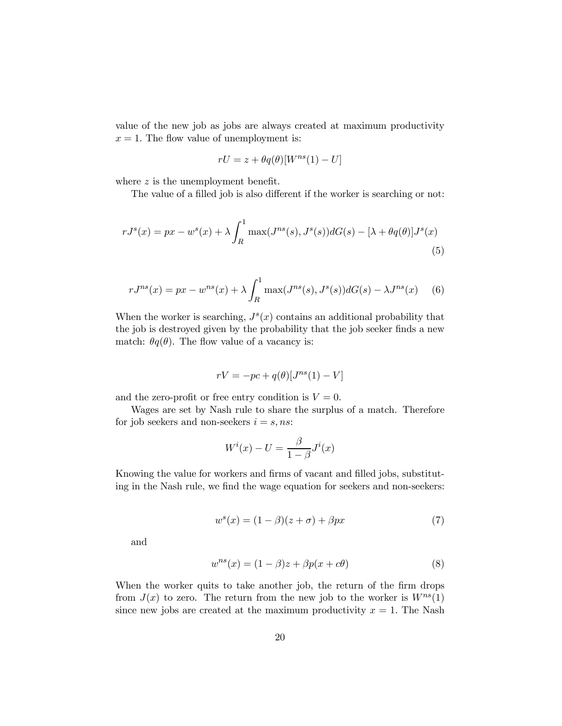value of the new job as jobs are always created at maximum productivity  $x = 1$ . The flow value of unemployment is:

$$
rU = z + \theta q(\theta)[W^{ns}(1) - U]
$$

where  $z$  is the unemployment benefit.

The value of a filled job is also different if the worker is searching or not:

$$
rJ^{s}(x) = px - w^{s}(x) + \lambda \int_{R}^{1} \max(J^{ns}(s), J^{s}(s))dG(s) - [\lambda + \theta q(\theta)]J^{s}(x)
$$
\n(5)

$$
rJ^{ns}(x) = px - w^{ns}(x) + \lambda \int_{R}^{1} \max(J^{ns}(s), J^{s}(s)) dG(s) - \lambda J^{ns}(x) \quad (6)
$$

When the worker is searching,  $J<sup>s</sup>(x)$  contains an additional probability that the job is destroyed given by the probability that the job seeker finds a new match:  $\theta q(\theta)$ . The flow value of a vacancy is:

$$
rV = -pc + q(\theta)[J^{ns}(1) - V]
$$

and the zero-profit or free entry condition is  $V = 0$ .

Wages are set by Nash rule to share the surplus of a match. Therefore for job seekers and non-seekers  $i = s$ , ns:

$$
W^{i}(x) - U = \frac{\beta}{1 - \beta} J^{i}(x)
$$

Knowing the value for workers and firms of vacant and filled jobs, substituting in the Nash rule, we find the wage equation for seekers and non-seekers:

$$
w^{s}(x) = (1 - \beta)(z + \sigma) + \beta px \tag{7}
$$

and

$$
w^{ns}(x) = (1 - \beta)z + \beta p(x + c\theta)
$$
\n(8)

When the worker quits to take another job, the return of the firm drops from  $J(x)$  to zero. The return from the new job to the worker is  $W^{ns}(1)$ since new jobs are created at the maximum productivity  $x = 1$ . The Nash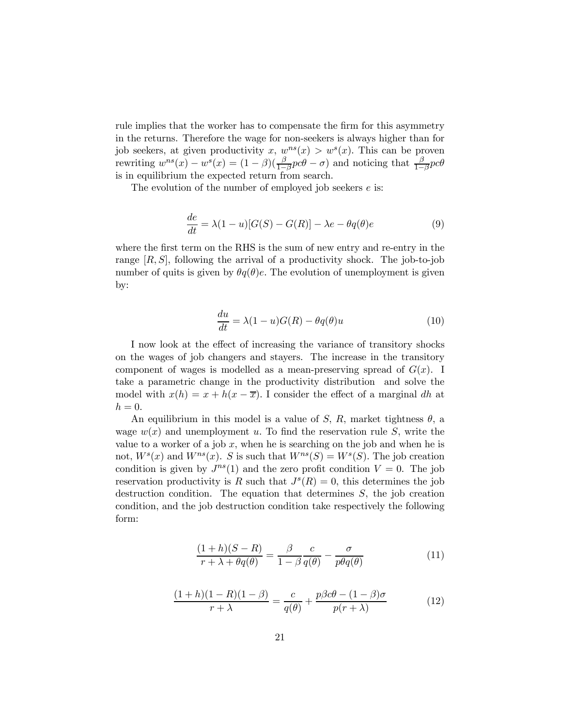rule implies that the worker has to compensate the firm for this asymmetry in the returns. Therefore the wage for non-seekers is always higher than for job seekers, at given productivity x,  $w^{ns}(x) > w^{s}(x)$ . This can be proven rewriting  $w^{ns}(x) - w^s(x) = (1 - \beta)(\frac{\beta}{1 - \beta}pc\theta - \sigma)$  and noticing that  $\frac{\beta}{1 - \beta}pc\theta$ is in equilibrium the expected return from search.

The evolution of the number of employed job seekers  $e$  is:

$$
\frac{de}{dt} = \lambda (1 - u)[G(S) - G(R)] - \lambda e - \theta q(\theta)e
$$
\n(9)

where the first term on the RHS is the sum of new entry and re-entry in the range  $[R, S]$ , following the arrival of a productivity shock. The job-to-job number of quits is given by  $\theta q(\theta)e$ . The evolution of unemployment is given by:

$$
\frac{du}{dt} = \lambda (1 - u)G(R) - \theta q(\theta)u\tag{10}
$$

I now look at the effect of increasing the variance of transitory shocks on the wages of job changers and stayers. The increase in the transitory component of wages is modelled as a mean-preserving spread of  $G(x)$ . I take a parametric change in the productivity distribution and solve the model with  $x(h) = x + h(x - \overline{x})$ . I consider the effect of a marginal dh at  $h = 0$ .

An equilibrium in this model is a value of S, R, market tightness  $\theta$ , a wage  $w(x)$  and unemployment u. To find the reservation rule S, write the value to a worker of a job  $x$ , when he is searching on the job and when he is not,  $W^s(x)$  and  $W^{ns}(x)$ . S is such that  $W^{ns}(S) = W^s(S)$ . The job creation condition is given by  $J^{ns}(1)$  and the zero profit condition  $V = 0$ . The job reservation productivity is R such that  $J^{s}(R)=0$ , this determines the job destruction condition. The equation that determines S, the job creation condition, and the job destruction condition take respectively the following form:

$$
\frac{(1+h)(S-R)}{r+\lambda+\theta q(\theta)} = \frac{\beta}{1-\beta} \frac{c}{q(\theta)} - \frac{\sigma}{p\theta q(\theta)}
$$
(11)

$$
\frac{(1+h)(1-R)(1-\beta)}{r+\lambda} = \frac{c}{q(\theta)} + \frac{p\beta c\theta - (1-\beta)\sigma}{p(r+\lambda)}
$$
(12)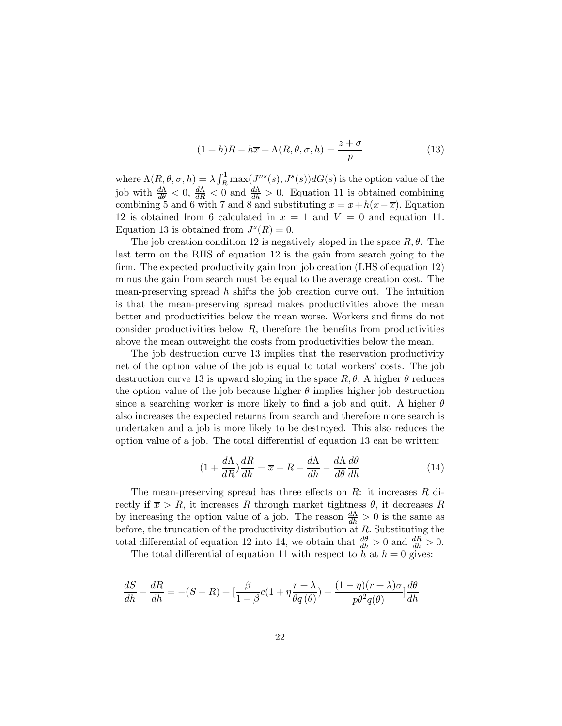$$
(1+h)R - h\overline{x} + \Lambda(R, \theta, \sigma, h) = \frac{z+\sigma}{p}
$$
\n(13)

where  $\Lambda(R, \theta, \sigma, h) = \lambda \int_R^1 \max(J^{ns}(s), J^s(s)) dG(s)$  is the option value of the job with  $\frac{d\Lambda}{d\theta} < 0$ ,  $\frac{d\Lambda}{dR} < 0$  and  $\frac{d\Lambda}{dh} > 0$ . Equation 11 is obtained combining combining 5 and 6 with 7 and 8 and substituting  $x = x + h(x-\overline{x})$ . Equation 12 is obtained from 6 calculated in  $x = 1$  and  $V = 0$  and equation 11. Equation 13 is obtained from  $J<sup>s</sup>(R)=0$ .

The job creation condition 12 is negatively sloped in the space  $R, \theta$ . The last term on the RHS of equation 12 is the gain from search going to the firm. The expected productivity gain from job creation (LHS of equation 12) minus the gain from search must be equal to the average creation cost. The mean-preserving spread  $h$  shifts the job creation curve out. The intuition is that the mean-preserving spread makes productivities above the mean better and productivities below the mean worse. Workers and firms do not consider productivities below  $R$ , therefore the benefits from productivities above the mean outweight the costs from productivities below the mean.

The job destruction curve 13 implies that the reservation productivity net of the option value of the job is equal to total workers' costs. The job destruction curve 13 is upward sloping in the space  $R, \theta$ . A higher  $\theta$  reduces the option value of the job because higher  $\theta$  implies higher job destruction since a searching worker is more likely to find a job and quit. A higher  $\theta$ also increases the expected returns from search and therefore more search is undertaken and a job is more likely to be destroyed. This also reduces the option value of a job. The total differential of equation 13 can be written:

$$
(1 + \frac{d\Lambda}{dR})\frac{dR}{dh} = \overline{x} - R - \frac{d\Lambda}{dh} - \frac{d\Lambda}{d\theta}\frac{d\theta}{dh}
$$
(14)

The mean-preserving spread has three effects on  $R$ : it increases  $R$  directly if  $\bar{x} > R$ , it increases R through market tightness  $\theta$ , it decreases R by increasing the option value of a job. The reason  $\frac{d\Lambda}{dh} > 0$  is the same as before, the truncation of the productivity distribution at  $R$ . Substituting the total differential of equation 12 into 14, we obtain that  $\frac{d\theta}{dh} > 0$  and  $\frac{dR}{dh} > 0$ .

The total differential of equation 11 with respect to h at  $h = 0$  gives:

$$
\frac{dS}{dh} - \frac{dR}{dh} = -(S - R) + \left[\frac{\beta}{1 - \beta}c(1 + \eta \frac{r + \lambda}{\theta q(\theta)}) + \frac{(1 - \eta)(r + \lambda)\sigma}{p\theta^2 q(\theta)}\right]\frac{d\theta}{dh}
$$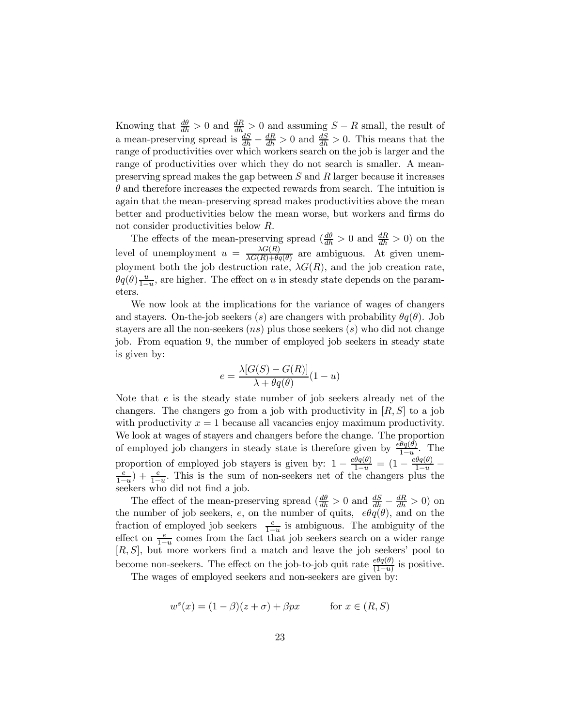Knowing that  $\frac{d\theta}{dh} > 0$  and  $\frac{dR}{dh} > 0$  and assuming  $S - R$  small, the result of a mean-preserving spread is  $\frac{dS}{dh} - \frac{dR}{dh} > 0$  and  $\frac{dS}{dh} > 0$ . This means that the range of productivities over which workers search on the job is larger and the range of productivities over which they do not search is smaller. A meanpreserving spread makes the gap between  $S$  and  $R$  larger because it increases  $\theta$  and therefore increases the expected rewards from search. The intuition is again that the mean-preserving spread makes productivities above the mean better and productivities below the mean worse, but workers and firms do not consider productivities below R.

The effects of the mean-preserving spread  $\left(\frac{d\theta}{dh} > 0\right)$  and  $\frac{dR}{dh} > 0$  on the level of unemployment  $u = \frac{\lambda G(R)}{\lambda G(R) + \theta q(\theta)}$  are ambiguous. At given unemployment both the job destruction rate,  $\lambda G(R)$ , and the job creation rate,  $\theta q(\theta) \frac{u}{1-u}$ , are higher. The effect on u in steady state depends on the parameters.

We now look at the implications for the variance of wages of changers and stayers. On-the-job seekers (s) are changers with probability  $\theta q(\theta)$ . Job stayers are all the non-seekers  $(ns)$  plus those seekers  $(s)$  who did not change job. From equation 9, the number of employed job seekers in steady state is given by:

$$
e = \frac{\lambda[G(S) - G(R)]}{\lambda + \theta q(\theta)}(1 - u)
$$

Note that e is the steady state number of job seekers already net of the changers. The changers go from a job with productivity in  $[R, S]$  to a job with productivity  $x = 1$  because all vacancies enjoy maximum productivity. We look at wages of stayers and changers before the change. The proportion of employed job changers in steady state is therefore given by  $\frac{\partial \theta q(\theta)}{1-u}$ . The proportion of employed job stayers is given by:  $1 - \frac{e\theta q(\theta)}{1-u} = (1 - \frac{e\theta q(\theta)}{1-u} - \frac{e}{1-u}) + \frac{e}{1-u}$ . This is the sum of non-seekers net of the changers plus the seekers who did not find a job.

The effect of the mean-preserving spread  $\left(\frac{d\theta}{dh} > 0\right)$  and  $\frac{dS}{dh} - \frac{dR}{dh} > 0$ ) on the number of job seekers,  $e$ , on the number of quits,  $e\theta q(\theta)$ , and on the fraction of employed job seekers  $\frac{e}{1-u}$  is ambiguous. The ambiguity of the effect on  $\frac{e}{1-u}$  comes from the fact that job seekers search on a wider range [R, S], but more workers find a match and leave the job seekers' pool to become non-seekers. The effect on the job-to-job quit rate  $\frac{e\theta q(\theta)}{(1-u)}$  is positive.

The wages of employed seekers and non-seekers are given by:

$$
ws(x) = (1 - \beta)(z + \sigma) + \beta px \qquad \text{for } x \in (R, S)
$$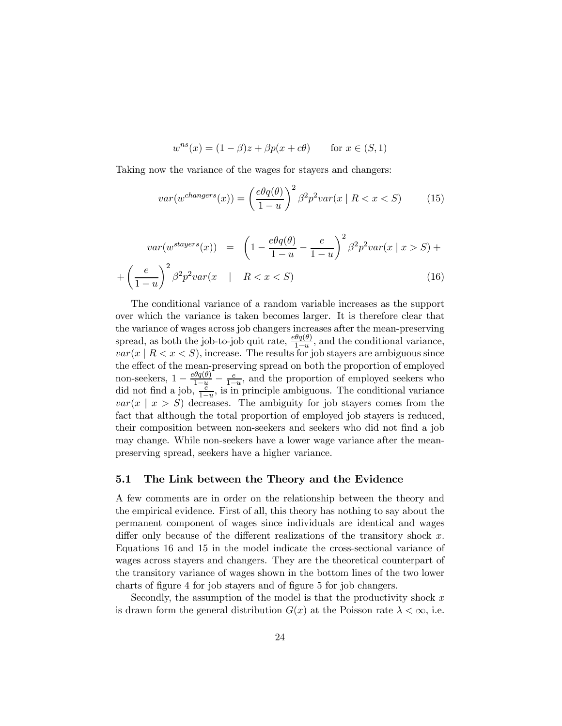$$
w^{ns}(x) = (1 - \beta)z + \beta p(x + c\theta) \qquad \text{for } x \in (S, 1)
$$

Taking now the variance of the wages for stayers and changers:

$$
var(w^{changes}(x)) = \left(\frac{e\theta q(\theta)}{1-u}\right)^2 \beta^2 p^2 var(x \mid R < x < S) \tag{15}
$$

$$
var(w^{stayers}(x)) = \left(1 - \frac{e\theta q(\theta)}{1 - u} - \frac{e}{1 - u}\right)^2 \beta^2 p^2 var(x | x > S) +
$$

$$
+ \left(\frac{e}{1 - u}\right)^2 \beta^2 p^2 var(x | R < x < S)
$$
(16)

The conditional variance of a random variable increases as the support over which the variance is taken becomes larger. It is therefore clear that the variance of wages across job changers increases after the mean-preserving spread, as both the job-to-job quit rate,  $\frac{e\theta q(\theta)}{1-u}$ , and the conditional variance,  $var(x \mid R < x < S)$ , increase. The results for job stayers are ambiguous since the effect of the mean-preserving spread on both the proportion of employed non-seekers,  $1 - \frac{e\theta q(\theta)}{1-u} - \frac{e}{1-u}$ , and the proportion of employed seekers who did not find a job,  $\frac{e}{1-u}$ , is in principle ambiguous. The conditional variance  $var(x \mid x > S)$  decreases. The ambiguity for job stayers comes from the fact that although the total proportion of employed job stayers is reduced, their composition between non-seekers and seekers who did not find a job may change. While non-seekers have a lower wage variance after the meanpreserving spread, seekers have a higher variance.

#### 5.1 The Link between the Theory and the Evidence

A few comments are in order on the relationship between the theory and the empirical evidence. First of all, this theory has nothing to say about the permanent component of wages since individuals are identical and wages differ only because of the different realizations of the transitory shock  $x$ . Equations 16 and 15 in the model indicate the cross-sectional variance of wages across stayers and changers. They are the theoretical counterpart of the transitory variance of wages shown in the bottom lines of the two lower charts of figure 4 for job stayers and of figure 5 for job changers.

Secondly, the assumption of the model is that the productivity shock  $x$ is drawn form the general distribution  $G(x)$  at the Poisson rate  $\lambda < \infty$ , i.e.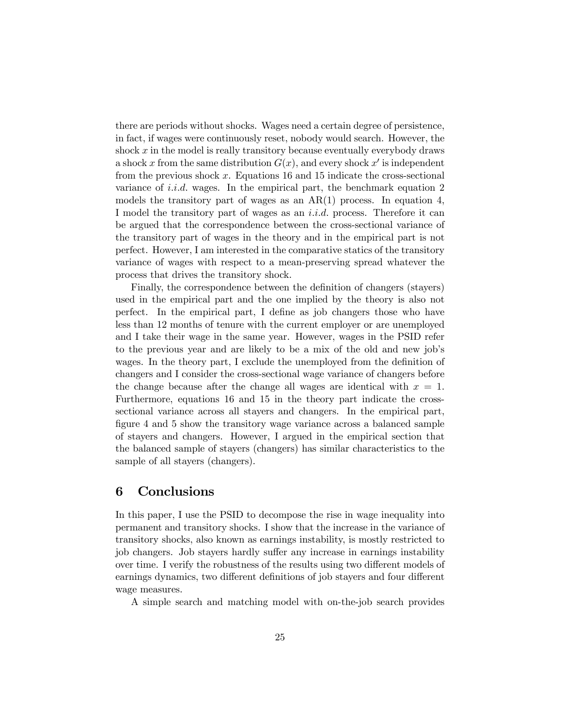there are periods without shocks. Wages need a certain degree of persistence, in fact, if wages were continuously reset, nobody would search. However, the shock  $x$  in the model is really transitory because eventually everybody draws a shock x from the same distribution  $G(x)$ , and every shock x' is independent from the previous shock  $x$ . Equations 16 and 15 indicate the cross-sectional variance of *i.i.d.* wages. In the empirical part, the benchmark equation 2 models the transitory part of wages as an  $AR(1)$  process. In equation 4, I model the transitory part of wages as an  $i.i.d.$  process. Therefore it can be argued that the correspondence between the cross-sectional variance of the transitory part of wages in the theory and in the empirical part is not perfect. However, I am interested in the comparative statics of the transitory variance of wages with respect to a mean-preserving spread whatever the process that drives the transitory shock.

Finally, the correspondence between the definition of changers (stayers) used in the empirical part and the one implied by the theory is also not perfect. In the empirical part, I define as job changers those who have less than 12 months of tenure with the current employer or are unemployed and I take their wage in the same year. However, wages in the PSID refer to the previous year and are likely to be a mix of the old and new job's wages. In the theory part, I exclude the unemployed from the definition of changers and I consider the cross-sectional wage variance of changers before the change because after the change all wages are identical with  $x = 1$ . Furthermore, equations 16 and 15 in the theory part indicate the crosssectional variance across all stayers and changers. In the empirical part, figure 4 and 5 show the transitory wage variance across a balanced sample of stayers and changers. However, I argued in the empirical section that the balanced sample of stayers (changers) has similar characteristics to the sample of all stayers (changers).

#### 6 Conclusions

In this paper, I use the PSID to decompose the rise in wage inequality into permanent and transitory shocks. I show that the increase in the variance of transitory shocks, also known as earnings instability, is mostly restricted to job changers. Job stayers hardly suffer any increase in earnings instability over time. I verify the robustness of the results using two different models of earnings dynamics, two different definitions of job stayers and four different wage measures.

A simple search and matching model with on-the-job search provides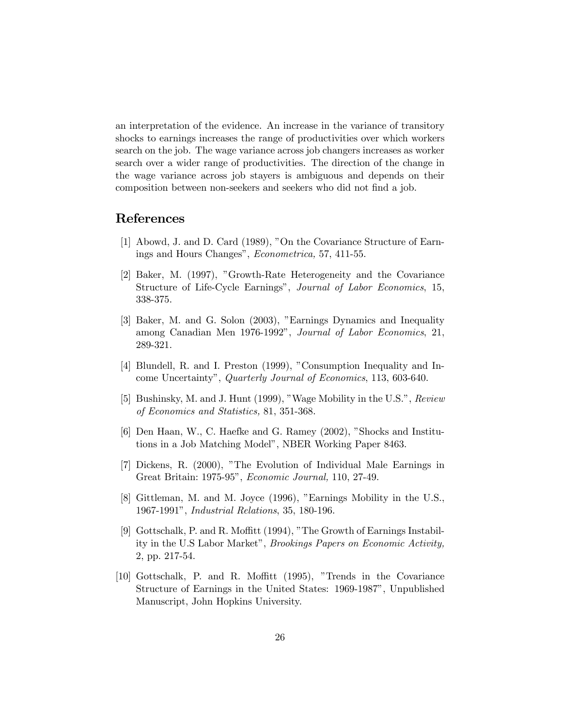an interpretation of the evidence. An increase in the variance of transitory shocks to earnings increases the range of productivities over which workers search on the job. The wage variance across job changers increases as worker search over a wider range of productivities. The direction of the change in the wage variance across job stayers is ambiguous and depends on their composition between non-seekers and seekers who did not find a job.

#### References

- [1] Abowd, J. and D. Card (1989), "On the Covariance Structure of Earnings and Hours Changes", Econometrica, 57, 411-55.
- [2] Baker, M. (1997), "Growth-Rate Heterogeneity and the Covariance Structure of Life-Cycle Earnings", Journal of Labor Economics, 15, 338-375.
- [3] Baker, M. and G. Solon (2003), "Earnings Dynamics and Inequality among Canadian Men 1976-1992", Journal of Labor Economics, 21, 289-321.
- [4] Blundell, R. and I. Preston (1999), "Consumption Inequality and Income Uncertainty", Quarterly Journal of Economics, 113, 603-640.
- [5] Bushinsky, M. and J. Hunt (1999), "Wage Mobility in the U.S.", Review of Economics and Statistics, 81, 351-368.
- [6] Den Haan, W., C. Haefke and G. Ramey (2002), "Shocks and Institutions in a Job Matching Model", NBER Working Paper 8463.
- [7] Dickens, R. (2000), "The Evolution of Individual Male Earnings in Great Britain: 1975-95", Economic Journal, 110, 27-49.
- [8] Gittleman, M. and M. Joyce (1996), "Earnings Mobility in the U.S., 1967-1991", Industrial Relations, 35, 180-196.
- [9] Gottschalk, P. and R. Moffitt (1994), "The Growth of Earnings Instability in the U.S Labor Market", Brookings Papers on Economic Activity, 2, pp. 217-54.
- [10] Gottschalk, P. and R. Moffitt (1995), "Trends in the Covariance Structure of Earnings in the United States: 1969-1987", Unpublished Manuscript, John Hopkins University.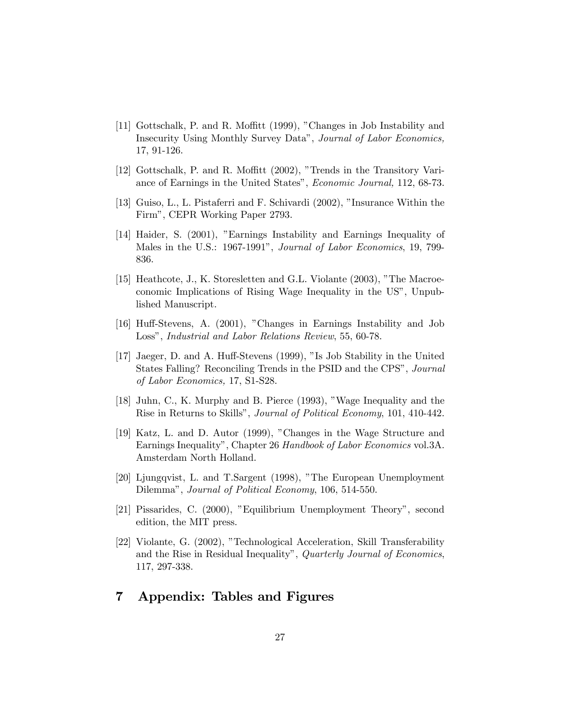- [11] Gottschalk, P. and R. Moffitt (1999), "Changes in Job Instability and Insecurity Using Monthly Survey Data", Journal of Labor Economics, 17, 91-126.
- [12] Gottschalk, P. and R. Moffitt (2002), "Trends in the Transitory Variance of Earnings in the United States", Economic Journal, 112, 68-73.
- [13] Guiso, L., L. Pistaferri and F. Schivardi (2002), "Insurance Within the Firm", CEPR Working Paper 2793.
- [14] Haider, S. (2001), "Earnings Instability and Earnings Inequality of Males in the U.S.: 1967-1991", Journal of Labor Economics, 19, 799- 836.
- [15] Heathcote, J., K. Storesletten and G.L. Violante (2003), "The Macroeconomic Implications of Rising Wage Inequality in the US", Unpublished Manuscript.
- [16] Huff-Stevens, A. (2001), "Changes in Earnings Instability and Job Loss", Industrial and Labor Relations Review, 55, 60-78.
- [17] Jaeger, D. and A. Huff-Stevens (1999), "Is Job Stability in the United States Falling? Reconciling Trends in the PSID and the CPS", Journal of Labor Economics, 17, S1-S28.
- [18] Juhn, C., K. Murphy and B. Pierce (1993), "Wage Inequality and the Rise in Returns to Skills", Journal of Political Economy, 101, 410-442.
- [19] Katz, L. and D. Autor (1999), "Changes in the Wage Structure and Earnings Inequality", Chapter 26 Handbook of Labor Economics vol.3A. Amsterdam North Holland.
- [20] Ljungqvist, L. and T.Sargent (1998), "The European Unemployment Dilemma", Journal of Political Economy, 106, 514-550.
- [21] Pissarides, C. (2000), "Equilibrium Unemployment Theory", second edition, the MIT press.
- [22] Violante, G. (2002), "Technological Acceleration, Skill Transferability and the Rise in Residual Inequality", Quarterly Journal of Economics, 117, 297-338.

#### 7 Appendix: Tables and Figures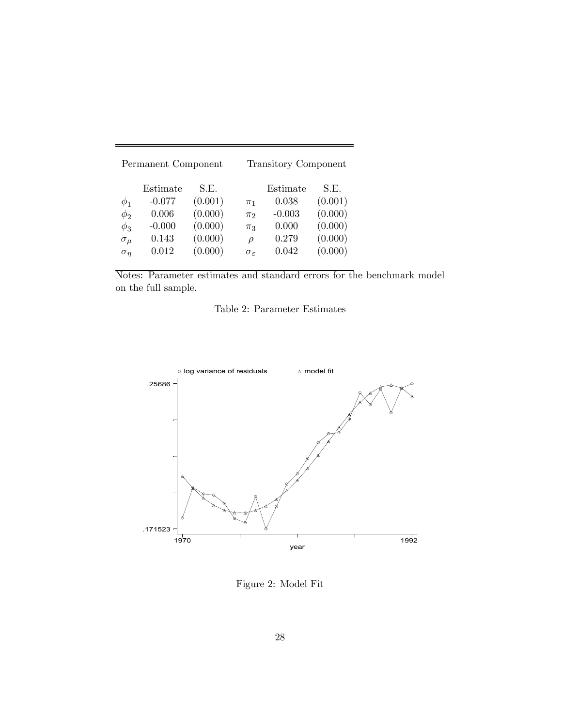| Permanent Component                                              |                                                             |                                                             |                                                                   | <b>Transitory Component</b>                              |                                                             |  |
|------------------------------------------------------------------|-------------------------------------------------------------|-------------------------------------------------------------|-------------------------------------------------------------------|----------------------------------------------------------|-------------------------------------------------------------|--|
| $\phi_1$<br>$\phi_2$<br>$\phi_3$<br>$\sigma_{\mu}$<br>$\sigma_n$ | Estimate<br>$-0.077$<br>0.006<br>$-0.000$<br>0.143<br>0.012 | S.E.<br>(0.001)<br>(0.000)<br>(0.000)<br>(0.000)<br>(0.000) | $\pi_1$<br>$\pi_2$<br>$\pi_3$<br>$\rho$<br>$\sigma_{\varepsilon}$ | Estimate<br>0.038<br>$-0.003$<br>0.000<br>0.279<br>0.042 | S.E.<br>(0.001)<br>(0.000)<br>(0.000)<br>(0.000)<br>(0.000) |  |

Notes: Parameter estimates and standard errors for the benchmark model on the full sample.



Figure 2: Model Fit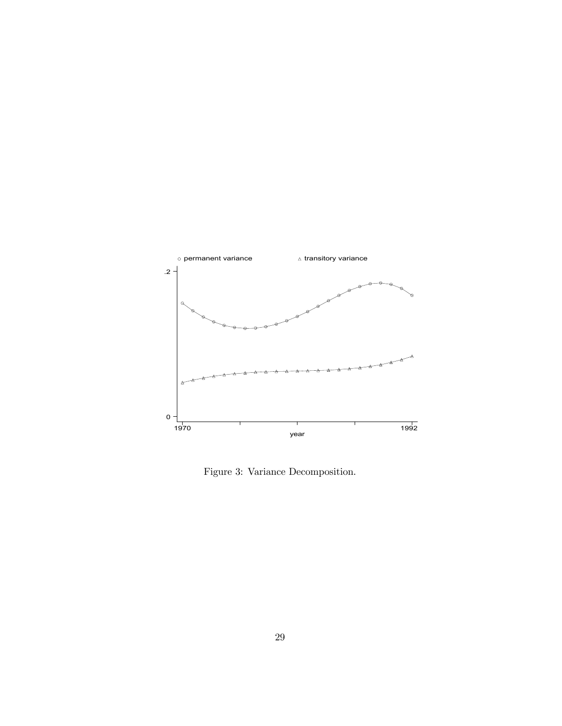

Figure 3: Variance Decomposition.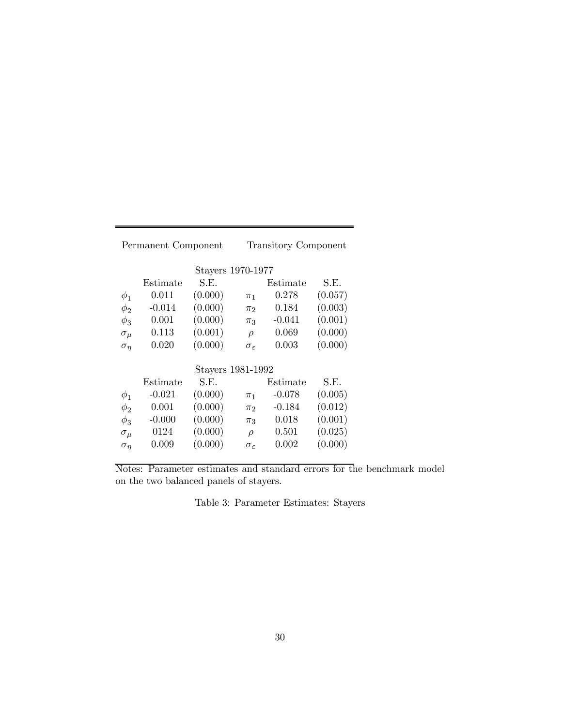| Permanent Component |                   |                   |                        | Transitory Component |         |  |  |
|---------------------|-------------------|-------------------|------------------------|----------------------|---------|--|--|
|                     |                   | Stayers 1970-1977 |                        |                      |         |  |  |
|                     | Estimate          | S.E.              |                        | Estimate             | S.E.    |  |  |
| $\phi_1$            | 0.011             | (0.000)           | $\pi_1$                | 0.278                | (0.057) |  |  |
| $\phi_2$            | $-0.014$          | (0.000)           | $\pi_2$                | 0.184                | (0.003) |  |  |
| $\phi_3$            | 0.001             | (0.000)           | $\pi_3$                | $-0.041$             | (0.001) |  |  |
| $\sigma_{\mu}$      | 0.113             | (0.001)           | $\rho$                 | 0.069                | (0.000) |  |  |
| $\sigma_n$          | 0.020             | (0.000)           | $\sigma_{\varepsilon}$ | 0.003                | (0.000) |  |  |
|                     | Stayers 1981-1992 |                   |                        |                      |         |  |  |
|                     | Estimate          | S.E.              |                        | Estimate             | S.E.    |  |  |
| $\phi_1$            | $-0.021$          | (0.000)           | $\pi_1$                | $-0.078$             | (0.005) |  |  |
| $\phi_2$            | 0.001             | (0.000)           | $\pi_2$                | $-0.184$             | (0.012) |  |  |
| $\phi_3$            | $-0.000$          | (0.000)           | $\pi_3$                | 0.018                | (0.001) |  |  |
| $\sigma_{\mu}$      | 0124              | (0.000)           | $\rho$                 | 0.501                | (0.025) |  |  |
| $\sigma_{\eta}$     | 0.009             | (0.000)           | $\sigma_{\varepsilon}$ | 0.002                | (0.000) |  |  |

Notes: Parameter estimates and standard errors for the benchmark model on the two balanced panels of stayers.

|  | Table 3: Parameter Estimates: Stayers |  |  |
|--|---------------------------------------|--|--|
|--|---------------------------------------|--|--|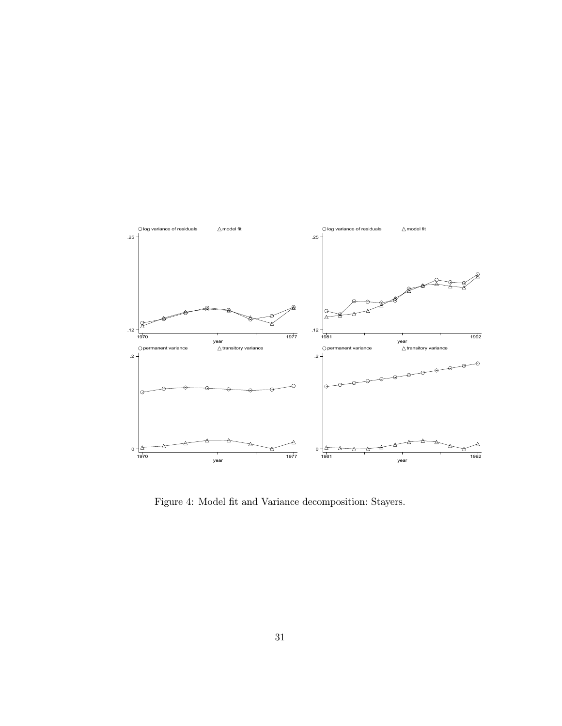

Figure 4: Model fit and Variance decomposition: Stayers.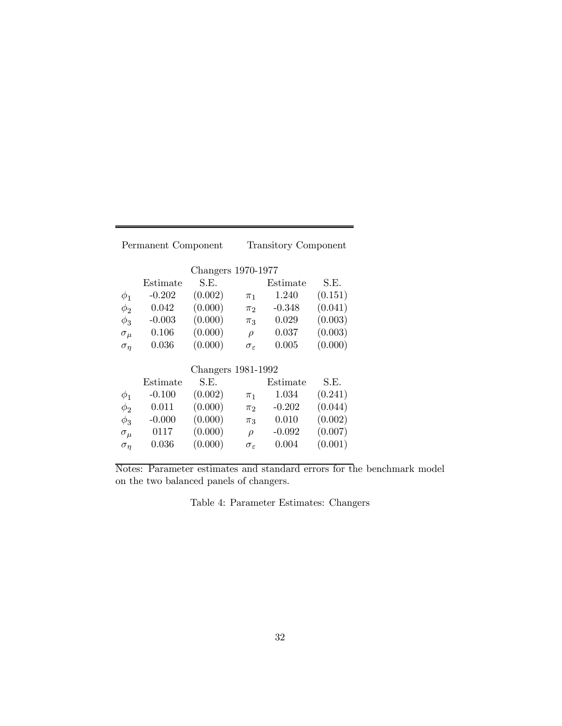| Permanent Component   |                    |         |                        | <b>Transitory Component</b> |         |  |  |
|-----------------------|--------------------|---------|------------------------|-----------------------------|---------|--|--|
|                       | Changers 1970-1977 |         |                        |                             |         |  |  |
|                       | Estimate           | S.E.    |                        | Estimate                    | S.E.    |  |  |
| $\phi_1$              | $-0.202$           | (0.002) | $\pi_1$                | 1.240                       | (0.151) |  |  |
| $\phi_2$              | 0.042              | (0.000) | $\pi_2$                | $-0.348$                    | (0.041) |  |  |
| $\phi_3$              | $-0.003$           | (0.000) | $\pi_3$                | 0.029                       | (0.003) |  |  |
| $\sigma_{\mu}$        | 0.106              | (0.000) | $\rho$                 | 0.037                       | (0.003) |  |  |
| $\sigma_n$            | 0.036              | (0.000) | $\sigma_{\varepsilon}$ | 0.005                       | (0.000) |  |  |
|                       | Changers 1981-1992 |         |                        |                             |         |  |  |
|                       | Estimate           | S.E.    |                        | Estimate                    | S.E.    |  |  |
| $\phi_1$              | $-0.100$           | (0.002) | $\pi_1$                | 1.034                       | (0.241) |  |  |
| $\phi_2$              | 0.011              | (0.000) | $\pi_2$                | $-0.202$                    | (0.044) |  |  |
| $\phi_3$              | $-0.000$           | (0.000) | $\pi_3$                | 0.010                       | (0.002) |  |  |
| $\sigma_{\mu}$        | 0117               | (0.000) | $\rho$                 | $-0.092$                    | (0.007) |  |  |
| $\sigma_{\pmb{\eta}}$ | 0.036              | (0.000) | $\sigma_{\varepsilon}$ | 0.004                       | (0.001) |  |  |

Notes: Parameter estimates and standard errors for the benchmark model on the two balanced panels of changers.

Table 4: Parameter Estimates: Changers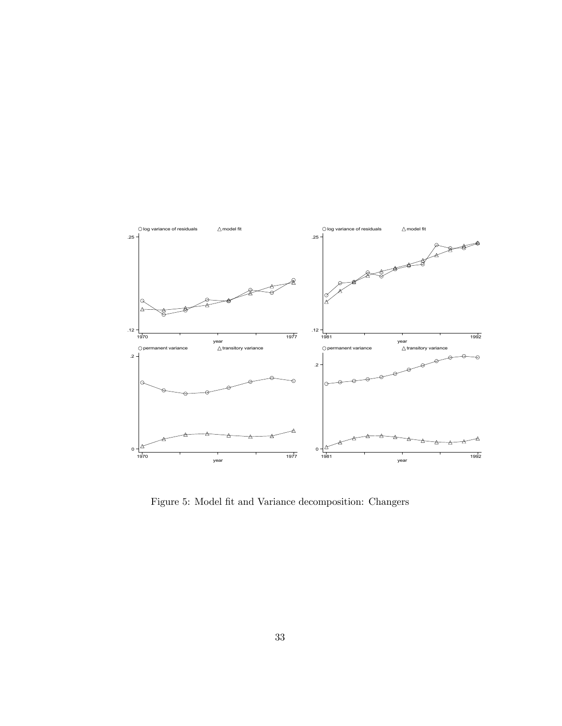

Figure 5: Model fit and Variance decomposition: Changers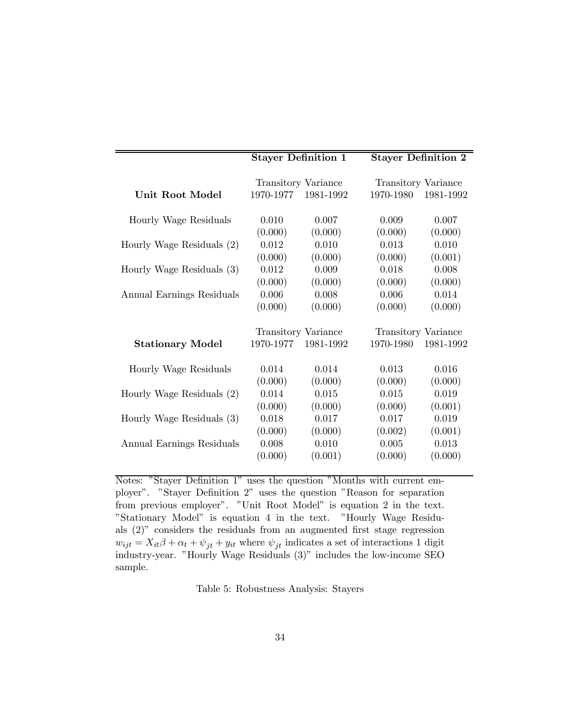|                           | <b>Stayer Definition 1</b> |                            | <b>Stayer Definition 2</b> |                            |  |
|---------------------------|----------------------------|----------------------------|----------------------------|----------------------------|--|
|                           | <b>Transitory Variance</b> |                            |                            | <b>Transitory Variance</b> |  |
| <b>Unit Root Model</b>    | 1970-1977                  | 1981-1992                  | 1970-1980                  | 1981-1992                  |  |
| Hourly Wage Residuals     | 0.010                      | 0.007                      | 0.009                      | 0.007                      |  |
|                           | (0.000)                    | (0.000)                    | (0.000)                    | (0.000)                    |  |
| Hourly Wage Residuals (2) | 0.012                      | 0.010                      | 0.013                      | 0.010                      |  |
|                           | (0.000)                    | (0.000)                    | (0.000)                    | (0.001)                    |  |
| Hourly Wage Residuals (3) | 0.012                      | 0.009                      | 0.018                      | 0.008                      |  |
|                           | (0.000)                    | (0.000)                    | (0.000)                    | (0.000)                    |  |
| Annual Earnings Residuals | 0.006                      | 0.008                      | 0.006                      | 0.014                      |  |
|                           | (0.000)                    | (0.000)                    | (0.000)                    | (0.000)                    |  |
|                           |                            | <b>Transitory Variance</b> |                            | <b>Transitory Variance</b> |  |
| <b>Stationary Model</b>   | 1970-1977                  | 1981-1992                  | 1970-1980                  | 1981-1992                  |  |
| Hourly Wage Residuals     | 0.014                      | 0.014                      | 0.013                      | 0.016                      |  |
|                           | (0.000)                    | (0.000)                    | (0.000)                    | (0.000)                    |  |
| Hourly Wage Residuals (2) | 0.014                      | 0.015                      | 0.015                      | 0.019                      |  |
|                           | (0.000)                    | (0.000)                    | (0.000)                    | (0.001)                    |  |
| Hourly Wage Residuals (3) | 0.018                      | 0.017                      | 0.017                      | 0.019                      |  |
|                           | (0.000)                    | (0.000)                    | (0.002)                    | (0.001)                    |  |
| Annual Earnings Residuals | 0.008                      | 0.010                      | 0.005                      | 0.013                      |  |
|                           | (0.000)                    | (0.001)                    | (0.000)                    | (0.000)                    |  |

Notes: "Stayer Definition 1" uses the question "Months with current employer". "Stayer Definition 2" uses the question "Reason for separation from previous employer". "Unit Root Model" is equation 2 in the text. "Stationary Model" is equation 4 in the text. "Hourly Wage Residuals (2)" considers the residuals from an augmented first stage regression  $w_{ijt} = X_{it}\beta + \alpha_t + \psi_{jt} + y_{it}$  where  $\psi_{jt}$  indicates a set of interactions 1 digit industry-year. "Hourly Wage Residuals (3)" includes the low-income SEO sample.

Table 5: Robustness Analysis: Stayers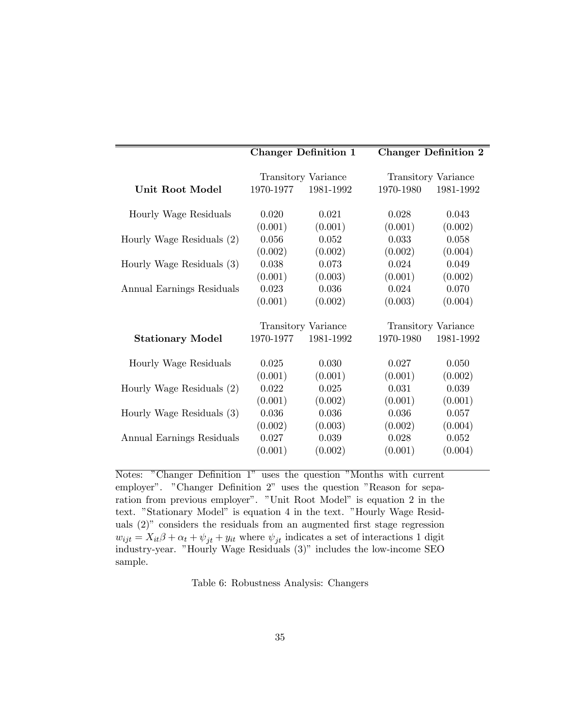|                           | <b>Changer Definition 1</b> |                     |           | <b>Changer Definition 2</b> |
|---------------------------|-----------------------------|---------------------|-----------|-----------------------------|
|                           | Transitory Variance         |                     |           | Transitory Variance         |
| Unit Root Model           | 1970-1977                   | 1981-1992           | 1970-1980 | 1981-1992                   |
| Hourly Wage Residuals     | 0.020                       | 0.021               | 0.028     | 0.043                       |
|                           | (0.001)                     | (0.001)             | (0.001)   | (0.002)                     |
| Hourly Wage Residuals (2) | 0.056                       | 0.052               | 0.033     | 0.058                       |
|                           | (0.002)                     | (0.002)             | (0.002)   | (0.004)                     |
| Hourly Wage Residuals (3) | 0.038                       | 0.073               | 0.024     | 0.049                       |
|                           | (0.001)                     | (0.003)             | (0.001)   | (0.002)                     |
| Annual Earnings Residuals | 0.023                       | 0.036               | 0.024     | 0.070                       |
|                           | (0.001)                     | (0.002)             | (0.003)   | (0.004)                     |
|                           |                             | Transitory Variance |           | Transitory Variance         |
| <b>Stationary Model</b>   | 1970-1977                   | 1981-1992           | 1970-1980 | 1981-1992                   |
| Hourly Wage Residuals     | 0.025                       | 0.030               | 0.027     | 0.050                       |
|                           | (0.001)                     | (0.001)             | (0.001)   | (0.002)                     |
| Hourly Wage Residuals (2) | 0.022                       | 0.025               | 0.031     | 0.039                       |
|                           | (0.001)                     | (0.002)             | (0.001)   | (0.001)                     |
| Hourly Wage Residuals (3) | 0.036                       | 0.036               | 0.036     | 0.057                       |
|                           | (0.002)                     | (0.003)             | (0.002)   | (0.004)                     |
| Annual Earnings Residuals | 0.027                       | 0.039               | 0.028     | 0.052                       |
|                           | (0.001)                     | (0.002)             | (0.001)   | (0.004)                     |

Notes: "Changer Definition 1" uses the question "Months with current employer". "Changer Definition 2" uses the question "Reason for separation from previous employer". "Unit Root Model" is equation 2 in the text. "Stationary Model" is equation 4 in the text. "Hourly Wage Residuals (2)" considers the residuals from an augmented first stage regression  $w_{ijt} = X_{it}\beta + \alpha_t + \psi_{jt} + y_{it}$  where  $\psi_{jt}$  indicates a set of interactions 1 digit industry-year. "Hourly Wage Residuals (3)" includes the low-income SEO sample.

Table 6: Robustness Analysis: Changers